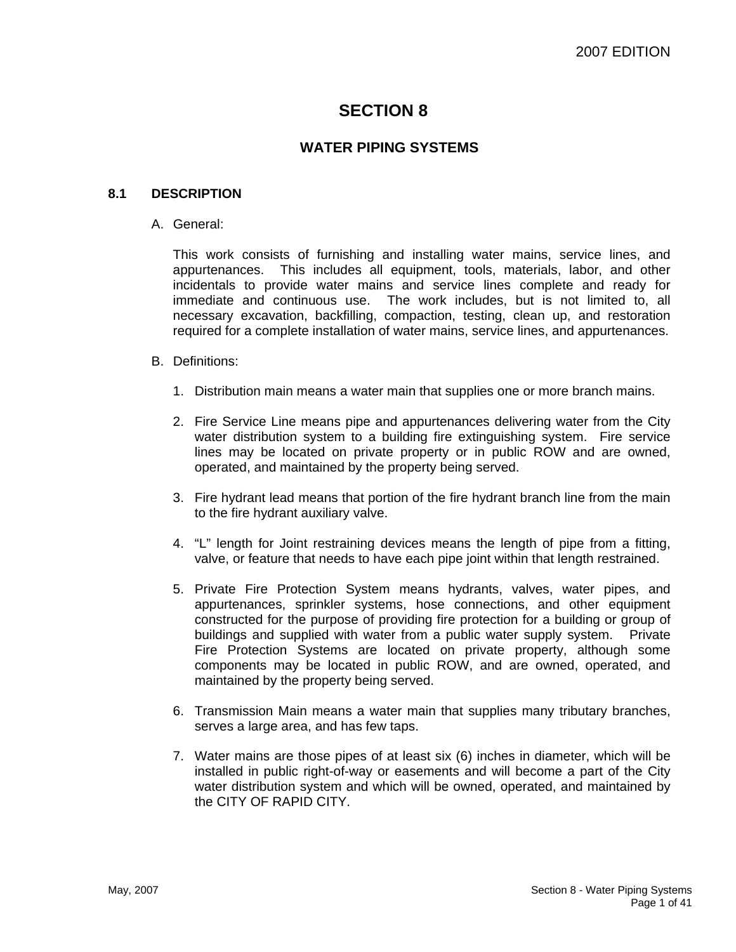# **SECTION 8**

# **WATER PIPING SYSTEMS**

## **8.1 DESCRIPTION**

#### A. General:

This work consists of furnishing and installing water mains, service lines, and appurtenances. This includes all equipment, tools, materials, labor, and other incidentals to provide water mains and service lines complete and ready for immediate and continuous use. The work includes, but is not limited to, all necessary excavation, backfilling, compaction, testing, clean up, and restoration required for a complete installation of water mains, service lines, and appurtenances.

#### B. Definitions:

- 1. Distribution main means a water main that supplies one or more branch mains.
- 2. Fire Service Line means pipe and appurtenances delivering water from the City water distribution system to a building fire extinguishing system. Fire service lines may be located on private property or in public ROW and are owned, operated, and maintained by the property being served.
- 3. Fire hydrant lead means that portion of the fire hydrant branch line from the main to the fire hydrant auxiliary valve.
- 4. "L" length for Joint restraining devices means the length of pipe from a fitting, valve, or feature that needs to have each pipe joint within that length restrained.
- 5. Private Fire Protection System means hydrants, valves, water pipes, and appurtenances, sprinkler systems, hose connections, and other equipment constructed for the purpose of providing fire protection for a building or group of buildings and supplied with water from a public water supply system. Private Fire Protection Systems are located on private property, although some components may be located in public ROW, and are owned, operated, and maintained by the property being served.
- 6. Transmission Main means a water main that supplies many tributary branches, serves a large area, and has few taps.
- 7. Water mains are those pipes of at least six (6) inches in diameter, which will be installed in public right-of-way or easements and will become a part of the City water distribution system and which will be owned, operated, and maintained by the CITY OF RAPID CITY.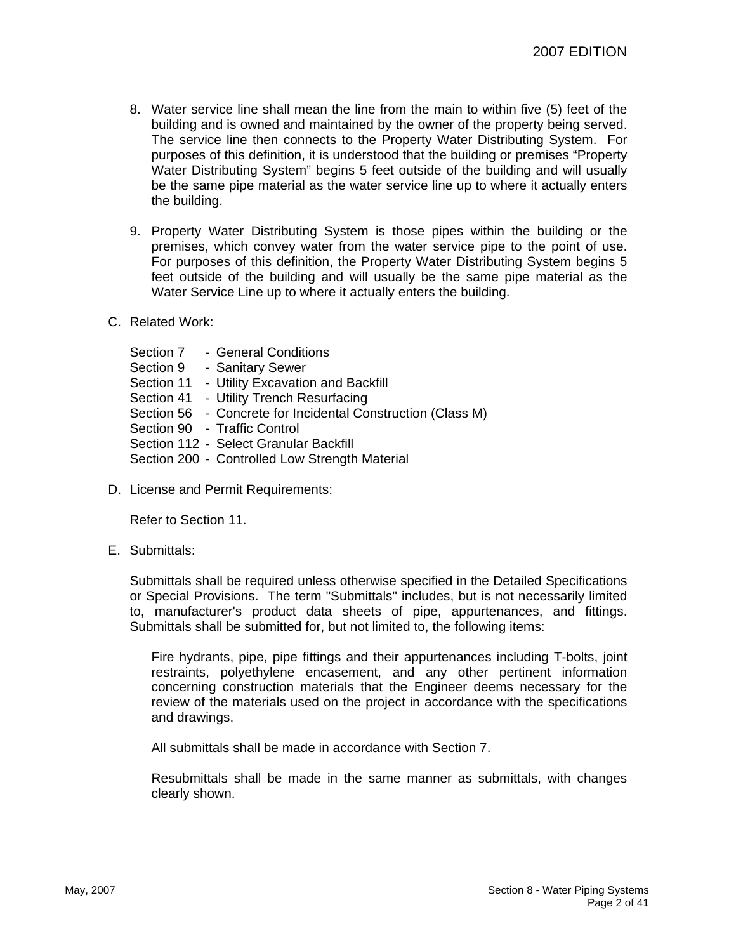- 8. Water service line shall mean the line from the main to within five (5) feet of the building and is owned and maintained by the owner of the property being served. The service line then connects to the Property Water Distributing System. For purposes of this definition, it is understood that the building or premises "Property Water Distributing System" begins 5 feet outside of the building and will usually be the same pipe material as the water service line up to where it actually enters the building.
- 9. Property Water Distributing System is those pipes within the building or the premises, which convey water from the water service pipe to the point of use. For purposes of this definition, the Property Water Distributing System begins 5 feet outside of the building and will usually be the same pipe material as the Water Service Line up to where it actually enters the building.
- C. Related Work:

Section 7 - General Conditions Section 9 - Sanitary Sewer Section 11 - Utility Excavation and Backfill Section 41 - Utility Trench Resurfacing Section 56 - Concrete for Incidental Construction (Class M) Section 90 - Traffic Control Section 112 - Select Granular Backfill Section 200 - Controlled Low Strength Material

D. License and Permit Requirements:

Refer to Section 11.

E. Submittals:

Submittals shall be required unless otherwise specified in the Detailed Specifications or Special Provisions. The term "Submittals" includes, but is not necessarily limited to, manufacturer's product data sheets of pipe, appurtenances, and fittings. Submittals shall be submitted for, but not limited to, the following items:

Fire hydrants, pipe, pipe fittings and their appurtenances including T-bolts, joint restraints, polyethylene encasement, and any other pertinent information concerning construction materials that the Engineer deems necessary for the review of the materials used on the project in accordance with the specifications and drawings.

All submittals shall be made in accordance with Section 7.

Resubmittals shall be made in the same manner as submittals, with changes clearly shown.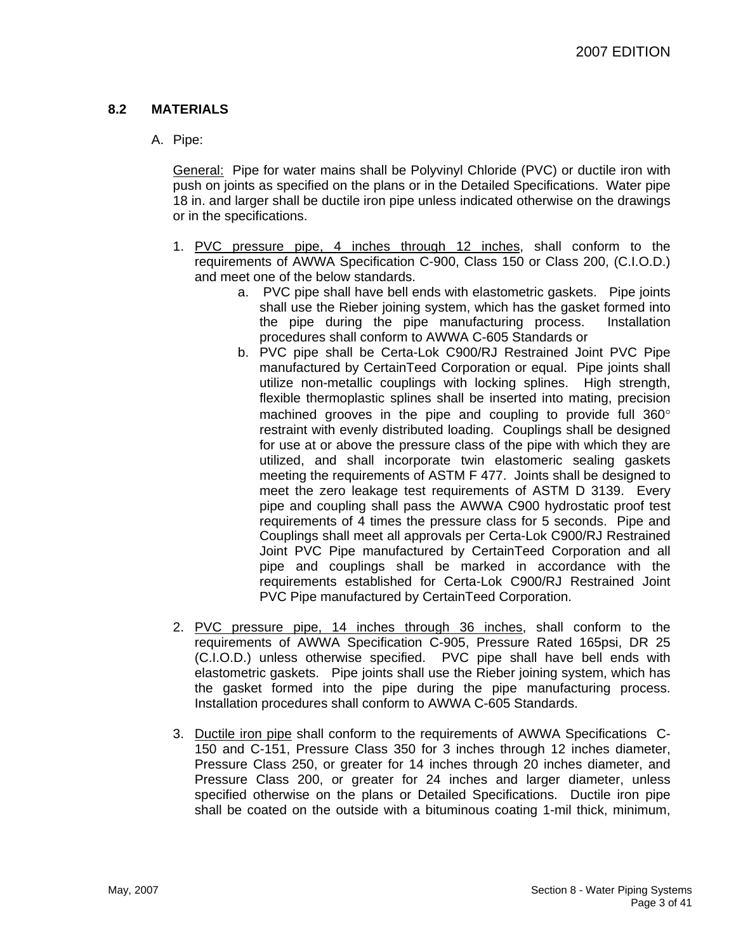# **8.2 MATERIALS**

# A. Pipe:

General: Pipe for water mains shall be Polyvinyl Chloride (PVC) or ductile iron with push on joints as specified on the plans or in the Detailed Specifications. Water pipe 18 in. and larger shall be ductile iron pipe unless indicated otherwise on the drawings or in the specifications.

- 1. PVC pressure pipe, 4 inches through 12 inches, shall conform to the requirements of AWWA Specification C-900, Class 150 or Class 200, (C.I.O.D.) and meet one of the below standards.
	- a. PVC pipe shall have bell ends with elastometric gaskets. Pipe joints shall use the Rieber joining system, which has the gasket formed into the pipe during the pipe manufacturing process. Installation procedures shall conform to AWWA C-605 Standards or
	- b. PVC pipe shall be Certa-Lok C900/RJ Restrained Joint PVC Pipe manufactured by CertainTeed Corporation or equal. Pipe joints shall utilize non-metallic couplings with locking splines. High strength, flexible thermoplastic splines shall be inserted into mating, precision machined grooves in the pipe and coupling to provide full 360° restraint with evenly distributed loading. Couplings shall be designed for use at or above the pressure class of the pipe with which they are utilized, and shall incorporate twin elastomeric sealing gaskets meeting the requirements of ASTM F 477. Joints shall be designed to meet the zero leakage test requirements of ASTM D 3139. Every pipe and coupling shall pass the AWWA C900 hydrostatic proof test requirements of 4 times the pressure class for 5 seconds. Pipe and Couplings shall meet all approvals per Certa-Lok C900/RJ Restrained Joint PVC Pipe manufactured by CertainTeed Corporation and all pipe and couplings shall be marked in accordance with the requirements established for Certa-Lok C900/RJ Restrained Joint PVC Pipe manufactured by CertainTeed Corporation.
- 2. PVC pressure pipe, 14 inches through 36 inches, shall conform to the requirements of AWWA Specification C-905, Pressure Rated 165psi, DR 25 (C.I.O.D.) unless otherwise specified. PVC pipe shall have bell ends with elastometric gaskets. Pipe joints shall use the Rieber joining system, which has the gasket formed into the pipe during the pipe manufacturing process. Installation procedures shall conform to AWWA C-605 Standards.
- 3. Ductile iron pipe shall conform to the requirements of AWWA Specifications C-150 and C-151, Pressure Class 350 for 3 inches through 12 inches diameter, Pressure Class 250, or greater for 14 inches through 20 inches diameter, and Pressure Class 200, or greater for 24 inches and larger diameter, unless specified otherwise on the plans or Detailed Specifications. Ductile iron pipe shall be coated on the outside with a bituminous coating 1-mil thick, minimum,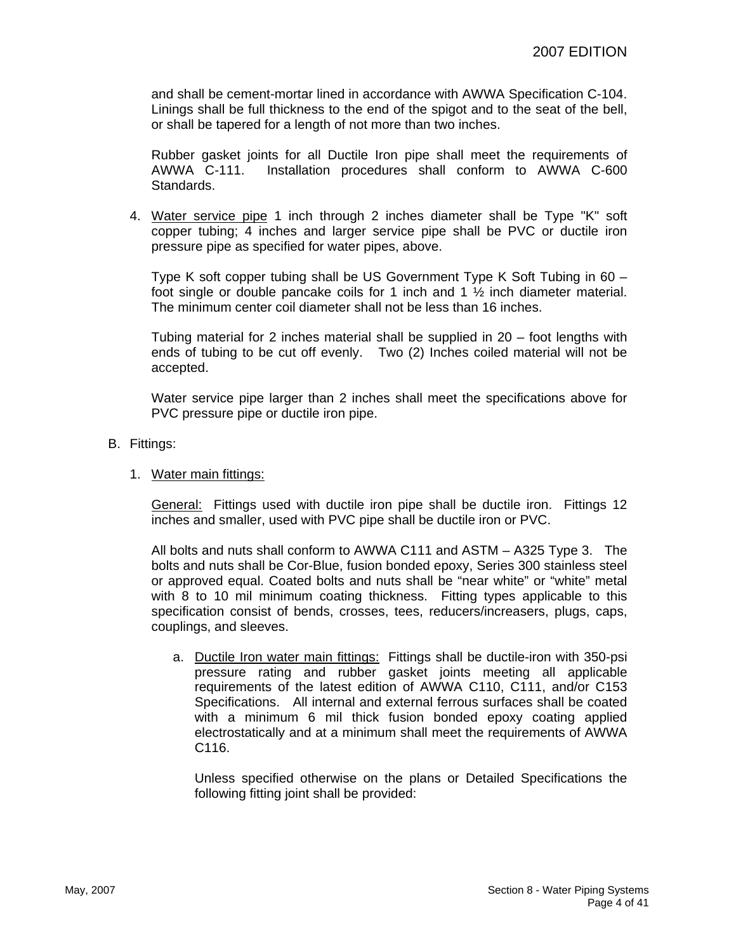and shall be cement-mortar lined in accordance with AWWA Specification C-104. Linings shall be full thickness to the end of the spigot and to the seat of the bell, or shall be tapered for a length of not more than two inches.

Rubber gasket joints for all Ductile Iron pipe shall meet the requirements of AWWA C-111. Installation procedures shall conform to AWWA C-600 Standards.

4. Water service pipe 1 inch through 2 inches diameter shall be Type "K" soft copper tubing; 4 inches and larger service pipe shall be PVC or ductile iron pressure pipe as specified for water pipes, above.

Type K soft copper tubing shall be US Government Type K Soft Tubing in 60 – foot single or double pancake coils for 1 inch and 1 ½ inch diameter material. The minimum center coil diameter shall not be less than 16 inches.

Tubing material for 2 inches material shall be supplied in 20 – foot lengths with ends of tubing to be cut off evenly. Two (2) Inches coiled material will not be accepted.

Water service pipe larger than 2 inches shall meet the specifications above for PVC pressure pipe or ductile iron pipe.

B. Fittings:

#### 1. Water main fittings:

General: Fittings used with ductile iron pipe shall be ductile iron. Fittings 12 inches and smaller, used with PVC pipe shall be ductile iron or PVC.

All bolts and nuts shall conform to AWWA C111 and ASTM – A325 Type 3. The bolts and nuts shall be Cor-Blue, fusion bonded epoxy, Series 300 stainless steel or approved equal. Coated bolts and nuts shall be "near white" or "white" metal with 8 to 10 mil minimum coating thickness. Fitting types applicable to this specification consist of bends, crosses, tees, reducers/increasers, plugs, caps, couplings, and sleeves.

a. Ductile Iron water main fittings: Fittings shall be ductile-iron with 350-psi pressure rating and rubber gasket joints meeting all applicable requirements of the latest edition of AWWA C110, C111, and/or C153 Specifications. All internal and external ferrous surfaces shall be coated with a minimum 6 mil thick fusion bonded epoxy coating applied electrostatically and at a minimum shall meet the requirements of AWWA C116.

Unless specified otherwise on the plans or Detailed Specifications the following fitting joint shall be provided: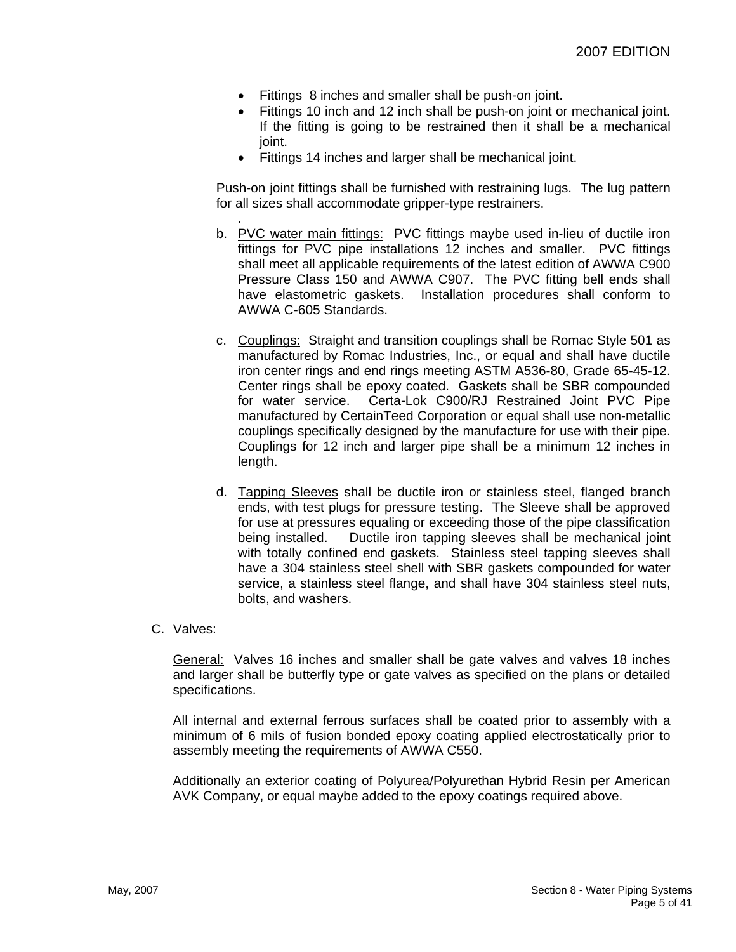- Fittings 8 inches and smaller shall be push-on joint.
- Fittings 10 inch and 12 inch shall be push-on joint or mechanical joint. If the fitting is going to be restrained then it shall be a mechanical ioint.
- Fittings 14 inches and larger shall be mechanical joint.

Push-on joint fittings shall be furnished with restraining lugs. The lug pattern for all sizes shall accommodate gripper-type restrainers.

- . b. PVC water main fittings: PVC fittings maybe used in-lieu of ductile iron fittings for PVC pipe installations 12 inches and smaller. PVC fittings shall meet all applicable requirements of the latest edition of AWWA C900 Pressure Class 150 and AWWA C907. The PVC fitting bell ends shall have elastometric gaskets. Installation procedures shall conform to AWWA C-605 Standards.
- c. Couplings: Straight and transition couplings shall be Romac Style 501 as manufactured by Romac Industries, Inc., or equal and shall have ductile iron center rings and end rings meeting ASTM A536-80, Grade 65-45-12. Center rings shall be epoxy coated. Gaskets shall be SBR compounded for water service. Certa-Lok C900/RJ Restrained Joint PVC Pipe manufactured by CertainTeed Corporation or equal shall use non-metallic couplings specifically designed by the manufacture for use with their pipe. Couplings for 12 inch and larger pipe shall be a minimum 12 inches in length.
- d. Tapping Sleeves shall be ductile iron or stainless steel, flanged branch ends, with test plugs for pressure testing. The Sleeve shall be approved for use at pressures equaling or exceeding those of the pipe classification being installed. Ductile iron tapping sleeves shall be mechanical joint with totally confined end gaskets. Stainless steel tapping sleeves shall have a 304 stainless steel shell with SBR gaskets compounded for water service, a stainless steel flange, and shall have 304 stainless steel nuts, bolts, and washers.

#### C. Valves:

General: Valves 16 inches and smaller shall be gate valves and valves 18 inches and larger shall be butterfly type or gate valves as specified on the plans or detailed specifications.

All internal and external ferrous surfaces shall be coated prior to assembly with a minimum of 6 mils of fusion bonded epoxy coating applied electrostatically prior to assembly meeting the requirements of AWWA C550.

Additionally an exterior coating of Polyurea/Polyurethan Hybrid Resin per American AVK Company, or equal maybe added to the epoxy coatings required above.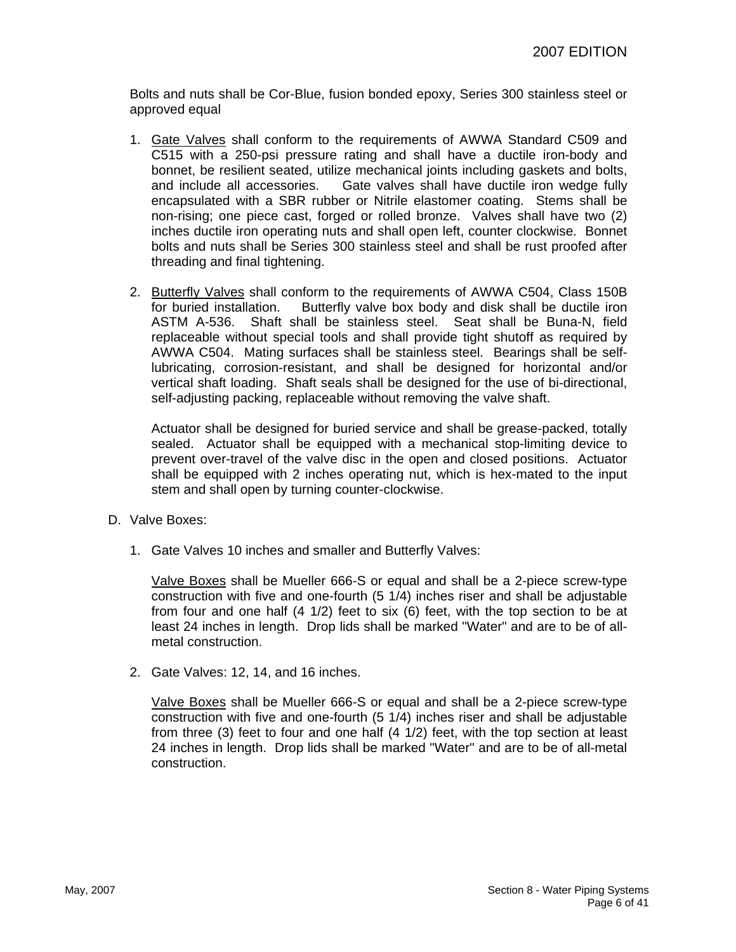Bolts and nuts shall be Cor-Blue, fusion bonded epoxy, Series 300 stainless steel or approved equal

- 1. Gate Valves shall conform to the requirements of AWWA Standard C509 and C515 with a 250-psi pressure rating and shall have a ductile iron-body and bonnet, be resilient seated, utilize mechanical joints including gaskets and bolts, and include all accessories. Gate valves shall have ductile iron wedge fully encapsulated with a SBR rubber or Nitrile elastomer coating. Stems shall be non-rising; one piece cast, forged or rolled bronze. Valves shall have two (2) inches ductile iron operating nuts and shall open left, counter clockwise. Bonnet bolts and nuts shall be Series 300 stainless steel and shall be rust proofed after threading and final tightening.
- 2. Butterfly Valves shall conform to the requirements of AWWA C504, Class 150B for buried installation. Butterfly valve box body and disk shall be ductile iron ASTM A-536. Shaft shall be stainless steel. Seat shall be Buna-N, field replaceable without special tools and shall provide tight shutoff as required by AWWA C504. Mating surfaces shall be stainless steel. Bearings shall be selflubricating, corrosion-resistant, and shall be designed for horizontal and/or vertical shaft loading. Shaft seals shall be designed for the use of bi-directional, self-adjusting packing, replaceable without removing the valve shaft.

Actuator shall be designed for buried service and shall be grease-packed, totally sealed. Actuator shall be equipped with a mechanical stop-limiting device to prevent over-travel of the valve disc in the open and closed positions. Actuator shall be equipped with 2 inches operating nut, which is hex-mated to the input stem and shall open by turning counter-clockwise.

- D. Valve Boxes:
	- 1. Gate Valves 10 inches and smaller and Butterfly Valves:

Valve Boxes shall be Mueller 666-S or equal and shall be a 2-piece screw-type construction with five and one-fourth (5 1/4) inches riser and shall be adjustable from four and one half (4 1/2) feet to six (6) feet, with the top section to be at least 24 inches in length. Drop lids shall be marked "Water" and are to be of allmetal construction.

2. Gate Valves: 12, 14, and 16 inches.

Valve Boxes shall be Mueller 666-S or equal and shall be a 2-piece screw-type construction with five and one-fourth (5 1/4) inches riser and shall be adjustable from three (3) feet to four and one half (4 1/2) feet, with the top section at least 24 inches in length. Drop lids shall be marked "Water" and are to be of all-metal construction.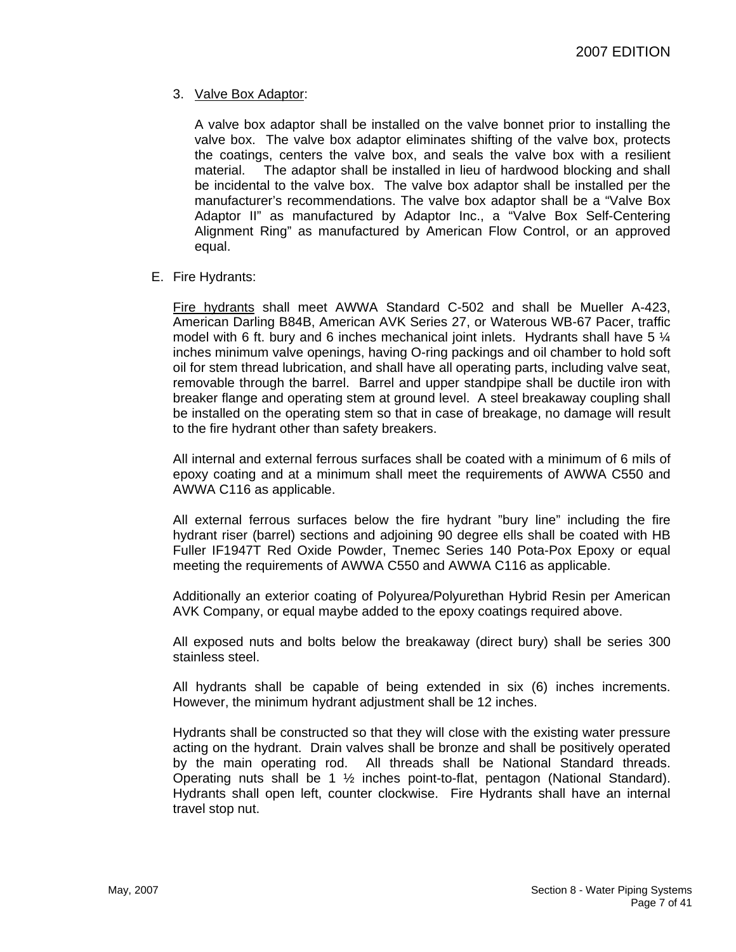## 3. Valve Box Adaptor:

A valve box adaptor shall be installed on the valve bonnet prior to installing the valve box. The valve box adaptor eliminates shifting of the valve box, protects the coatings, centers the valve box, and seals the valve box with a resilient material. The adaptor shall be installed in lieu of hardwood blocking and shall be incidental to the valve box. The valve box adaptor shall be installed per the manufacturer's recommendations. The valve box adaptor shall be a "Valve Box Adaptor II" as manufactured by Adaptor Inc., a "Valve Box Self-Centering Alignment Ring" as manufactured by American Flow Control, or an approved equal.

#### E. Fire Hydrants:

Fire hydrants shall meet AWWA Standard C-502 and shall be Mueller A-423, American Darling B84B, American AVK Series 27, or Waterous WB-67 Pacer, traffic model with 6 ft. bury and 6 inches mechanical joint inlets. Hydrants shall have 5  $\frac{1}{4}$ inches minimum valve openings, having O-ring packings and oil chamber to hold soft oil for stem thread lubrication, and shall have all operating parts, including valve seat, removable through the barrel. Barrel and upper standpipe shall be ductile iron with breaker flange and operating stem at ground level. A steel breakaway coupling shall be installed on the operating stem so that in case of breakage, no damage will result to the fire hydrant other than safety breakers.

All internal and external ferrous surfaces shall be coated with a minimum of 6 mils of epoxy coating and at a minimum shall meet the requirements of AWWA C550 and AWWA C116 as applicable.

All external ferrous surfaces below the fire hydrant "bury line" including the fire hydrant riser (barrel) sections and adjoining 90 degree ells shall be coated with HB Fuller IF1947T Red Oxide Powder, Tnemec Series 140 Pota-Pox Epoxy or equal meeting the requirements of AWWA C550 and AWWA C116 as applicable.

Additionally an exterior coating of Polyurea/Polyurethan Hybrid Resin per American AVK Company, or equal maybe added to the epoxy coatings required above.

All exposed nuts and bolts below the breakaway (direct bury) shall be series 300 stainless steel.

All hydrants shall be capable of being extended in six (6) inches increments. However, the minimum hydrant adjustment shall be 12 inches.

Hydrants shall be constructed so that they will close with the existing water pressure acting on the hydrant. Drain valves shall be bronze and shall be positively operated by the main operating rod. All threads shall be National Standard threads. Operating nuts shall be 1 ½ inches point-to-flat, pentagon (National Standard). Hydrants shall open left, counter clockwise. Fire Hydrants shall have an internal travel stop nut.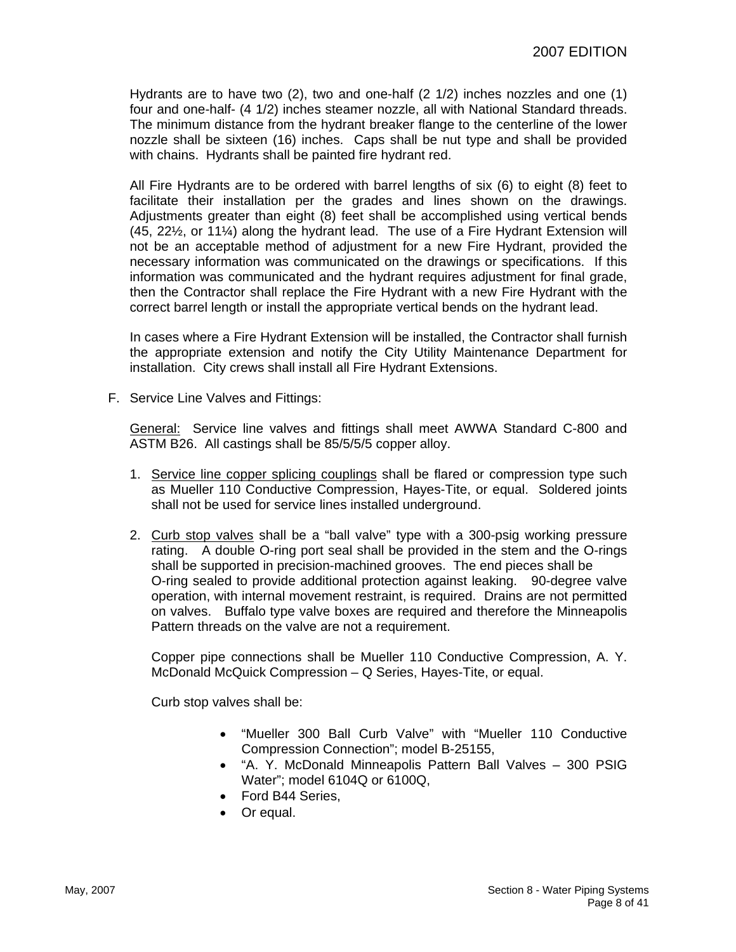Hydrants are to have two (2), two and one-half (2 1/2) inches nozzles and one (1) four and one-half- (4 1/2) inches steamer nozzle, all with National Standard threads. The minimum distance from the hydrant breaker flange to the centerline of the lower nozzle shall be sixteen (16) inches. Caps shall be nut type and shall be provided with chains. Hydrants shall be painted fire hydrant red.

All Fire Hydrants are to be ordered with barrel lengths of six (6) to eight (8) feet to facilitate their installation per the grades and lines shown on the drawings. Adjustments greater than eight (8) feet shall be accomplished using vertical bends (45, 22½, or 11¼) along the hydrant lead. The use of a Fire Hydrant Extension will not be an acceptable method of adjustment for a new Fire Hydrant, provided the necessary information was communicated on the drawings or specifications. If this information was communicated and the hydrant requires adjustment for final grade, then the Contractor shall replace the Fire Hydrant with a new Fire Hydrant with the correct barrel length or install the appropriate vertical bends on the hydrant lead.

In cases where a Fire Hydrant Extension will be installed, the Contractor shall furnish the appropriate extension and notify the City Utility Maintenance Department for installation. City crews shall install all Fire Hydrant Extensions.

F. Service Line Valves and Fittings:

General: Service line valves and fittings shall meet AWWA Standard C-800 and ASTM B26. All castings shall be 85/5/5/5 copper alloy.

- 1. Service line copper splicing couplings shall be flared or compression type such as Mueller 110 Conductive Compression, Hayes-Tite, or equal. Soldered joints shall not be used for service lines installed underground.
- 2. Curb stop valves shall be a "ball valve" type with a 300-psig working pressure rating. A double O-ring port seal shall be provided in the stem and the O-rings shall be supported in precision-machined grooves. The end pieces shall be O-ring sealed to provide additional protection against leaking. 90-degree valve operation, with internal movement restraint, is required. Drains are not permitted on valves. Buffalo type valve boxes are required and therefore the Minneapolis Pattern threads on the valve are not a requirement.

Copper pipe connections shall be Mueller 110 Conductive Compression, A. Y. McDonald McQuick Compression – Q Series, Hayes-Tite, or equal.

Curb stop valves shall be:

- "Mueller 300 Ball Curb Valve" with "Mueller 110 Conductive Compression Connection"; model B-25155,
- "A. Y. McDonald Minneapolis Pattern Ball Valves 300 PSIG Water"; model 6104Q or 6100Q,
- Ford B44 Series,
- Or equal.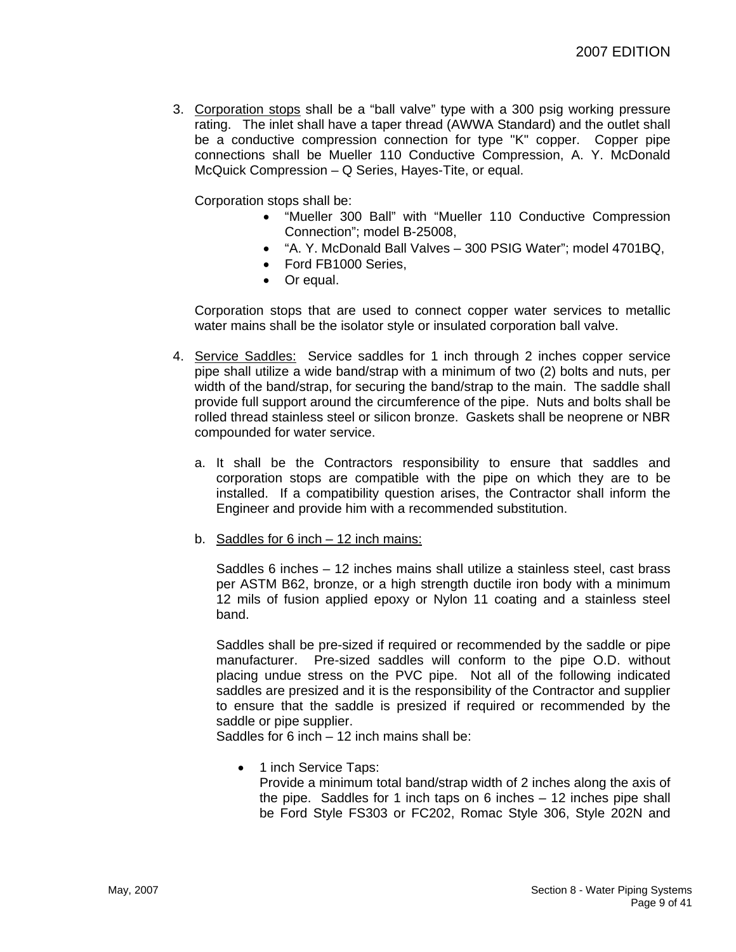3. Corporation stops shall be a "ball valve" type with a 300 psig working pressure rating. The inlet shall have a taper thread (AWWA Standard) and the outlet shall be a conductive compression connection for type "K" copper. Copper pipe connections shall be Mueller 110 Conductive Compression, A. Y. McDonald McQuick Compression – Q Series, Hayes-Tite, or equal.

Corporation stops shall be:

- "Mueller 300 Ball" with "Mueller 110 Conductive Compression Connection"; model B-25008,
- "A. Y. McDonald Ball Valves 300 PSIG Water"; model 4701BQ,
- Ford FB1000 Series,
- Or equal.

Corporation stops that are used to connect copper water services to metallic water mains shall be the isolator style or insulated corporation ball valve.

- 4. Service Saddles: Service saddles for 1 inch through 2 inches copper service pipe shall utilize a wide band/strap with a minimum of two (2) bolts and nuts, per width of the band/strap, for securing the band/strap to the main. The saddle shall provide full support around the circumference of the pipe. Nuts and bolts shall be rolled thread stainless steel or silicon bronze. Gaskets shall be neoprene or NBR compounded for water service.
	- a. It shall be the Contractors responsibility to ensure that saddles and corporation stops are compatible with the pipe on which they are to be installed. If a compatibility question arises, the Contractor shall inform the Engineer and provide him with a recommended substitution.
	- b. Saddles for 6 inch 12 inch mains:

Saddles 6 inches – 12 inches mains shall utilize a stainless steel, cast brass per ASTM B62, bronze, or a high strength ductile iron body with a minimum 12 mils of fusion applied epoxy or Nylon 11 coating and a stainless steel band.

Saddles shall be pre-sized if required or recommended by the saddle or pipe manufacturer. Pre-sized saddles will conform to the pipe O.D. without placing undue stress on the PVC pipe. Not all of the following indicated saddles are presized and it is the responsibility of the Contractor and supplier to ensure that the saddle is presized if required or recommended by the saddle or pipe supplier.

Saddles for 6 inch – 12 inch mains shall be:

• 1 inch Service Taps: Provide a minimum total band/strap width of 2 inches along the axis of the pipe. Saddles for 1 inch taps on 6 inches – 12 inches pipe shall be Ford Style FS303 or FC202, Romac Style 306, Style 202N and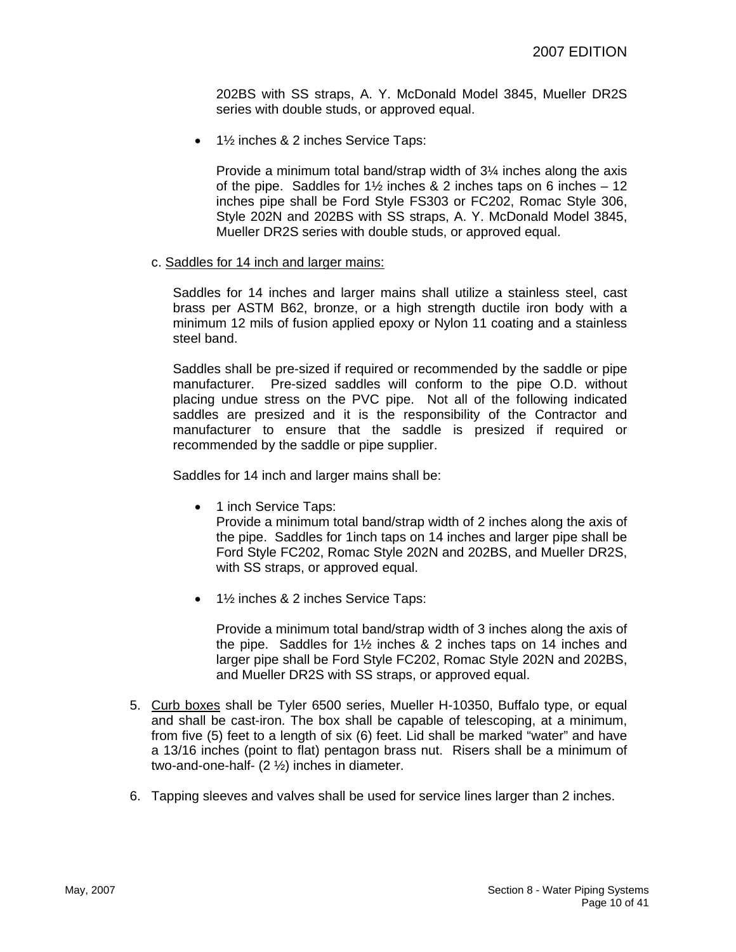202BS with SS straps, A. Y. McDonald Model 3845, Mueller DR2S series with double studs, or approved equal.

• 1½ inches & 2 inches Service Taps:

Provide a minimum total band/strap width of 3¼ inches along the axis of the pipe. Saddles for  $1\frac{1}{2}$  inches & 2 inches taps on 6 inches – 12 inches pipe shall be Ford Style FS303 or FC202, Romac Style 306, Style 202N and 202BS with SS straps, A. Y. McDonald Model 3845, Mueller DR2S series with double studs, or approved equal.

c. Saddles for 14 inch and larger mains:

Saddles for 14 inches and larger mains shall utilize a stainless steel, cast brass per ASTM B62, bronze, or a high strength ductile iron body with a minimum 12 mils of fusion applied epoxy or Nylon 11 coating and a stainless steel band.

Saddles shall be pre-sized if required or recommended by the saddle or pipe manufacturer. Pre-sized saddles will conform to the pipe O.D. without placing undue stress on the PVC pipe. Not all of the following indicated saddles are presized and it is the responsibility of the Contractor and manufacturer to ensure that the saddle is presized if required or recommended by the saddle or pipe supplier.

Saddles for 14 inch and larger mains shall be:

• 1 inch Service Taps:

Provide a minimum total band/strap width of 2 inches along the axis of the pipe. Saddles for 1inch taps on 14 inches and larger pipe shall be Ford Style FC202, Romac Style 202N and 202BS, and Mueller DR2S, with SS straps, or approved equal.

• 1½ inches & 2 inches Service Taps:

Provide a minimum total band/strap width of 3 inches along the axis of the pipe. Saddles for 1½ inches & 2 inches taps on 14 inches and larger pipe shall be Ford Style FC202, Romac Style 202N and 202BS, and Mueller DR2S with SS straps, or approved equal.

- 5. Curb boxes shall be Tyler 6500 series, Mueller H-10350, Buffalo type, or equal and shall be cast-iron. The box shall be capable of telescoping, at a minimum, from five (5) feet to a length of six (6) feet. Lid shall be marked "water" and have a 13/16 inches (point to flat) pentagon brass nut. Risers shall be a minimum of two-and-one-half- (2 ½) inches in diameter.
- 6. Tapping sleeves and valves shall be used for service lines larger than 2 inches.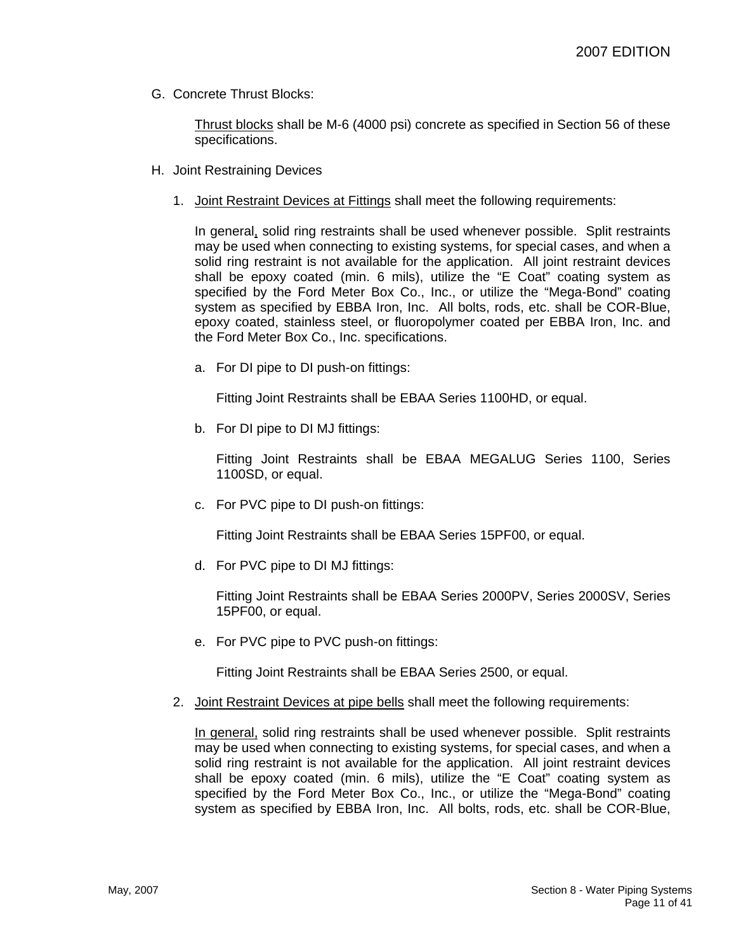G. Concrete Thrust Blocks:

Thrust blocks shall be M-6 (4000 psi) concrete as specified in Section 56 of these specifications.

- H. Joint Restraining Devices
	- 1. Joint Restraint Devices at Fittings shall meet the following requirements:

In general, solid ring restraints shall be used whenever possible. Split restraints may be used when connecting to existing systems, for special cases, and when a solid ring restraint is not available for the application. All joint restraint devices shall be epoxy coated (min. 6 mils), utilize the "E Coat" coating system as specified by the Ford Meter Box Co., Inc., or utilize the "Mega-Bond" coating system as specified by EBBA Iron, Inc. All bolts, rods, etc. shall be COR-Blue, epoxy coated, stainless steel, or fluoropolymer coated per EBBA Iron, Inc. and the Ford Meter Box Co., Inc. specifications.

a. For DI pipe to DI push-on fittings:

Fitting Joint Restraints shall be EBAA Series 1100HD, or equal.

b. For DI pipe to DI MJ fittings:

Fitting Joint Restraints shall be EBAA MEGALUG Series 1100, Series 1100SD, or equal.

c. For PVC pipe to DI push-on fittings:

Fitting Joint Restraints shall be EBAA Series 15PF00, or equal.

d. For PVC pipe to DI MJ fittings:

Fitting Joint Restraints shall be EBAA Series 2000PV, Series 2000SV, Series 15PF00, or equal.

e. For PVC pipe to PVC push-on fittings:

Fitting Joint Restraints shall be EBAA Series 2500, or equal.

2. Joint Restraint Devices at pipe bells shall meet the following requirements:

In general, solid ring restraints shall be used whenever possible. Split restraints may be used when connecting to existing systems, for special cases, and when a solid ring restraint is not available for the application. All joint restraint devices shall be epoxy coated (min. 6 mils), utilize the "E Coat" coating system as specified by the Ford Meter Box Co., Inc., or utilize the "Mega-Bond" coating system as specified by EBBA Iron, Inc. All bolts, rods, etc. shall be COR-Blue,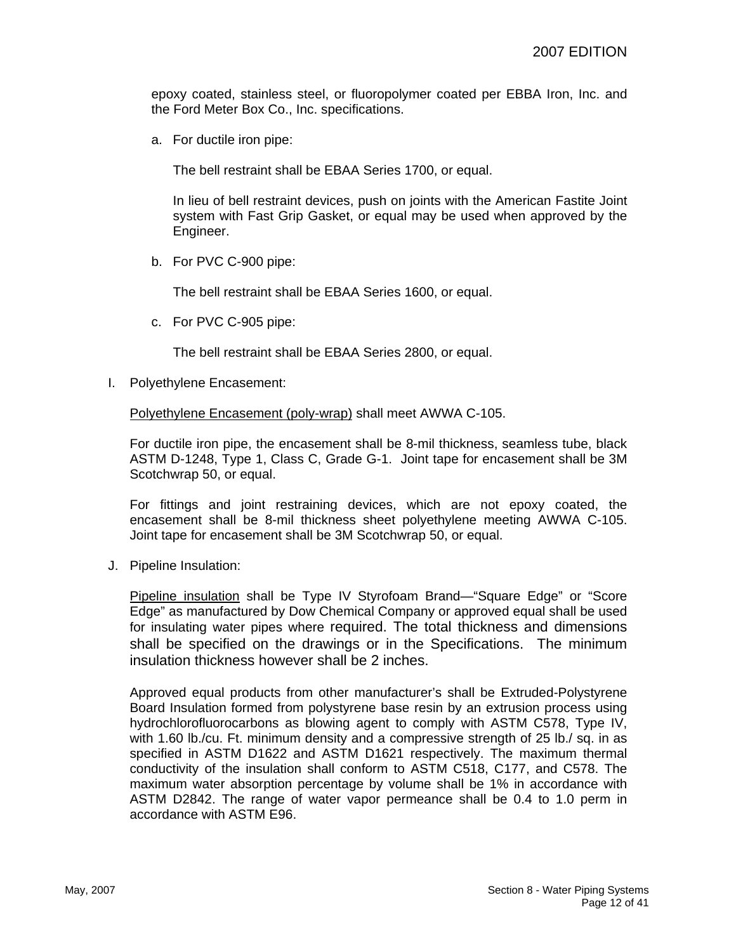epoxy coated, stainless steel, or fluoropolymer coated per EBBA Iron, Inc. and the Ford Meter Box Co., Inc. specifications.

a. For ductile iron pipe:

The bell restraint shall be EBAA Series 1700, or equal.

In lieu of bell restraint devices, push on joints with the American Fastite Joint system with Fast Grip Gasket, or equal may be used when approved by the Engineer.

b. For PVC C-900 pipe:

The bell restraint shall be EBAA Series 1600, or equal.

c. For PVC C-905 pipe:

The bell restraint shall be EBAA Series 2800, or equal.

I. Polyethylene Encasement:

Polyethylene Encasement (poly-wrap) shall meet AWWA C-105.

For ductile iron pipe, the encasement shall be 8-mil thickness, seamless tube, black ASTM D-1248, Type 1, Class C, Grade G-1. Joint tape for encasement shall be 3M Scotchwrap 50, or equal.

For fittings and joint restraining devices, which are not epoxy coated, the encasement shall be 8-mil thickness sheet polyethylene meeting AWWA C-105. Joint tape for encasement shall be 3M Scotchwrap 50, or equal.

J. Pipeline Insulation:

Pipeline insulation shall be Type IV Styrofoam Brand—"Square Edge" or "Score Edge" as manufactured by Dow Chemical Company or approved equal shall be used for insulating water pipes where required. The total thickness and dimensions shall be specified on the drawings or in the Specifications. The minimum insulation thickness however shall be 2 inches.

Approved equal products from other manufacturer's shall be Extruded-Polystyrene Board Insulation formed from polystyrene base resin by an extrusion process using hydrochlorofluorocarbons as blowing agent to comply with ASTM C578, Type IV, with 1.60 lb./cu. Ft. minimum density and a compressive strength of 25 lb./ sq. in as specified in ASTM D1622 and ASTM D1621 respectively. The maximum thermal conductivity of the insulation shall conform to ASTM C518, C177, and C578. The maximum water absorption percentage by volume shall be 1% in accordance with ASTM D2842. The range of water vapor permeance shall be 0.4 to 1.0 perm in accordance with ASTM E96.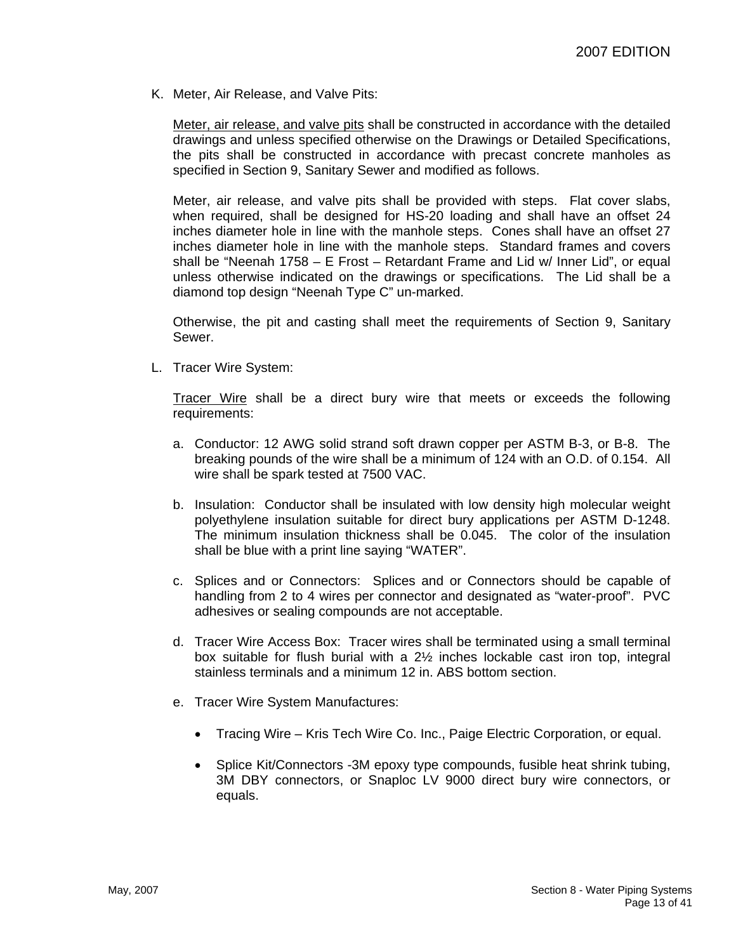K. Meter, Air Release, and Valve Pits:

Meter, air release, and valve pits shall be constructed in accordance with the detailed drawings and unless specified otherwise on the Drawings or Detailed Specifications, the pits shall be constructed in accordance with precast concrete manholes as specified in Section 9, Sanitary Sewer and modified as follows.

Meter, air release, and valve pits shall be provided with steps. Flat cover slabs, when required, shall be designed for HS-20 loading and shall have an offset 24 inches diameter hole in line with the manhole steps. Cones shall have an offset 27 inches diameter hole in line with the manhole steps. Standard frames and covers shall be "Neenah 1758 – E Frost – Retardant Frame and Lid w/ Inner Lid", or equal unless otherwise indicated on the drawings or specifications. The Lid shall be a diamond top design "Neenah Type C" un-marked.

Otherwise, the pit and casting shall meet the requirements of Section 9, Sanitary Sewer.

L. Tracer Wire System:

Tracer Wire shall be a direct bury wire that meets or exceeds the following requirements:

- a. Conductor: 12 AWG solid strand soft drawn copper per ASTM B-3, or B-8. The breaking pounds of the wire shall be a minimum of 124 with an O.D. of 0.154. All wire shall be spark tested at 7500 VAC.
- b. Insulation: Conductor shall be insulated with low density high molecular weight polyethylene insulation suitable for direct bury applications per ASTM D-1248. The minimum insulation thickness shall be 0.045. The color of the insulation shall be blue with a print line saying "WATER".
- c. Splices and or Connectors: Splices and or Connectors should be capable of handling from 2 to 4 wires per connector and designated as "water-proof". PVC adhesives or sealing compounds are not acceptable.
- d. Tracer Wire Access Box: Tracer wires shall be terminated using a small terminal box suitable for flush burial with a 2½ inches lockable cast iron top, integral stainless terminals and a minimum 12 in. ABS bottom section.
- e. Tracer Wire System Manufactures:
	- Tracing Wire Kris Tech Wire Co. Inc., Paige Electric Corporation, or equal.
	- Splice Kit/Connectors -3M epoxy type compounds, fusible heat shrink tubing, 3M DBY connectors, or Snaploc LV 9000 direct bury wire connectors, or equals.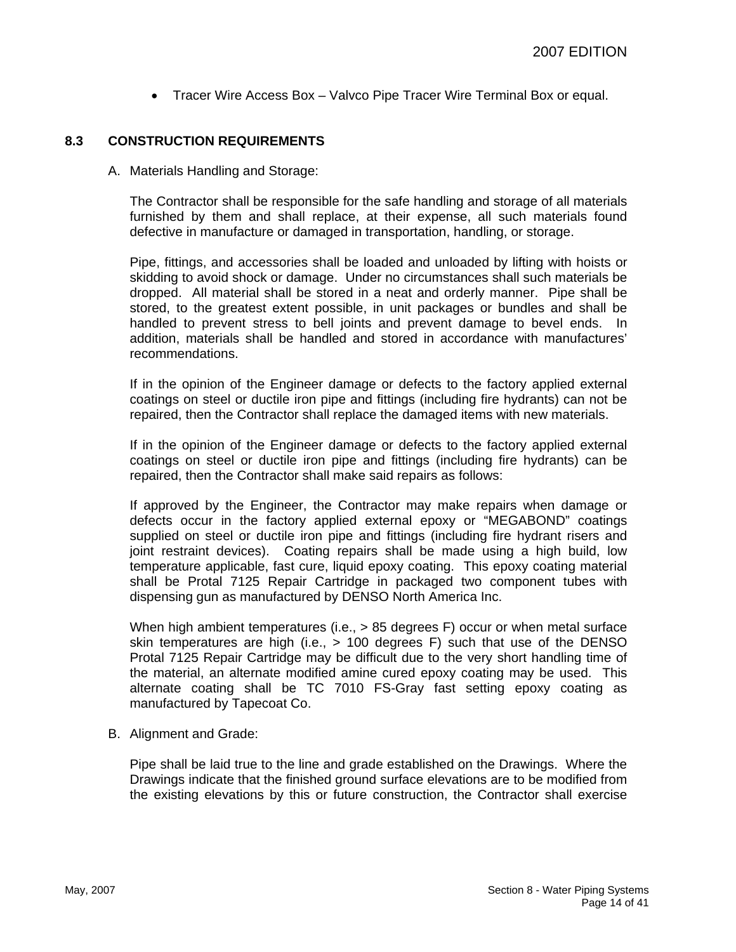• Tracer Wire Access Box – Valvco Pipe Tracer Wire Terminal Box or equal.

## **8.3 CONSTRUCTION REQUIREMENTS**

A. Materials Handling and Storage:

The Contractor shall be responsible for the safe handling and storage of all materials furnished by them and shall replace, at their expense, all such materials found defective in manufacture or damaged in transportation, handling, or storage.

Pipe, fittings, and accessories shall be loaded and unloaded by lifting with hoists or skidding to avoid shock or damage. Under no circumstances shall such materials be dropped. All material shall be stored in a neat and orderly manner. Pipe shall be stored, to the greatest extent possible, in unit packages or bundles and shall be handled to prevent stress to bell joints and prevent damage to bevel ends. In addition, materials shall be handled and stored in accordance with manufactures' recommendations.

If in the opinion of the Engineer damage or defects to the factory applied external coatings on steel or ductile iron pipe and fittings (including fire hydrants) can not be repaired, then the Contractor shall replace the damaged items with new materials.

If in the opinion of the Engineer damage or defects to the factory applied external coatings on steel or ductile iron pipe and fittings (including fire hydrants) can be repaired, then the Contractor shall make said repairs as follows:

If approved by the Engineer, the Contractor may make repairs when damage or defects occur in the factory applied external epoxy or "MEGABOND" coatings supplied on steel or ductile iron pipe and fittings (including fire hydrant risers and joint restraint devices). Coating repairs shall be made using a high build, low temperature applicable, fast cure, liquid epoxy coating. This epoxy coating material shall be Protal 7125 Repair Cartridge in packaged two component tubes with dispensing gun as manufactured by DENSO North America Inc.

When high ambient temperatures (i.e.,  $> 85$  degrees F) occur or when metal surface skin temperatures are high (i.e., > 100 degrees F) such that use of the DENSO Protal 7125 Repair Cartridge may be difficult due to the very short handling time of the material, an alternate modified amine cured epoxy coating may be used. This alternate coating shall be TC 7010 FS-Gray fast setting epoxy coating as manufactured by Tapecoat Co.

B. Alignment and Grade:

Pipe shall be laid true to the line and grade established on the Drawings. Where the Drawings indicate that the finished ground surface elevations are to be modified from the existing elevations by this or future construction, the Contractor shall exercise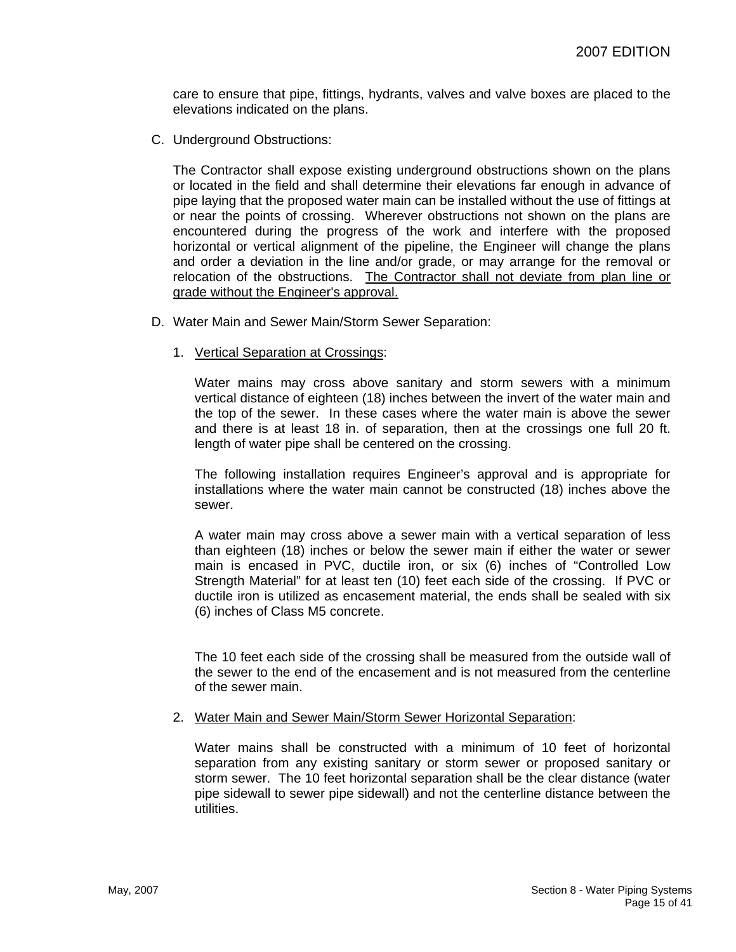care to ensure that pipe, fittings, hydrants, valves and valve boxes are placed to the elevations indicated on the plans.

C. Underground Obstructions:

The Contractor shall expose existing underground obstructions shown on the plans or located in the field and shall determine their elevations far enough in advance of pipe laying that the proposed water main can be installed without the use of fittings at or near the points of crossing. Wherever obstructions not shown on the plans are encountered during the progress of the work and interfere with the proposed horizontal or vertical alignment of the pipeline, the Engineer will change the plans and order a deviation in the line and/or grade, or may arrange for the removal or relocation of the obstructions. The Contractor shall not deviate from plan line or grade without the Engineer's approval.

- D. Water Main and Sewer Main/Storm Sewer Separation:
	- 1. Vertical Separation at Crossings:

Water mains may cross above sanitary and storm sewers with a minimum vertical distance of eighteen (18) inches between the invert of the water main and the top of the sewer. In these cases where the water main is above the sewer and there is at least 18 in. of separation, then at the crossings one full 20 ft. length of water pipe shall be centered on the crossing.

The following installation requires Engineer's approval and is appropriate for installations where the water main cannot be constructed (18) inches above the sewer.

A water main may cross above a sewer main with a vertical separation of less than eighteen (18) inches or below the sewer main if either the water or sewer main is encased in PVC, ductile iron, or six (6) inches of "Controlled Low Strength Material" for at least ten (10) feet each side of the crossing. If PVC or ductile iron is utilized as encasement material, the ends shall be sealed with six (6) inches of Class M5 concrete.

The 10 feet each side of the crossing shall be measured from the outside wall of the sewer to the end of the encasement and is not measured from the centerline of the sewer main.

#### 2. Water Main and Sewer Main/Storm Sewer Horizontal Separation:

Water mains shall be constructed with a minimum of 10 feet of horizontal separation from any existing sanitary or storm sewer or proposed sanitary or storm sewer. The 10 feet horizontal separation shall be the clear distance (water pipe sidewall to sewer pipe sidewall) and not the centerline distance between the utilities.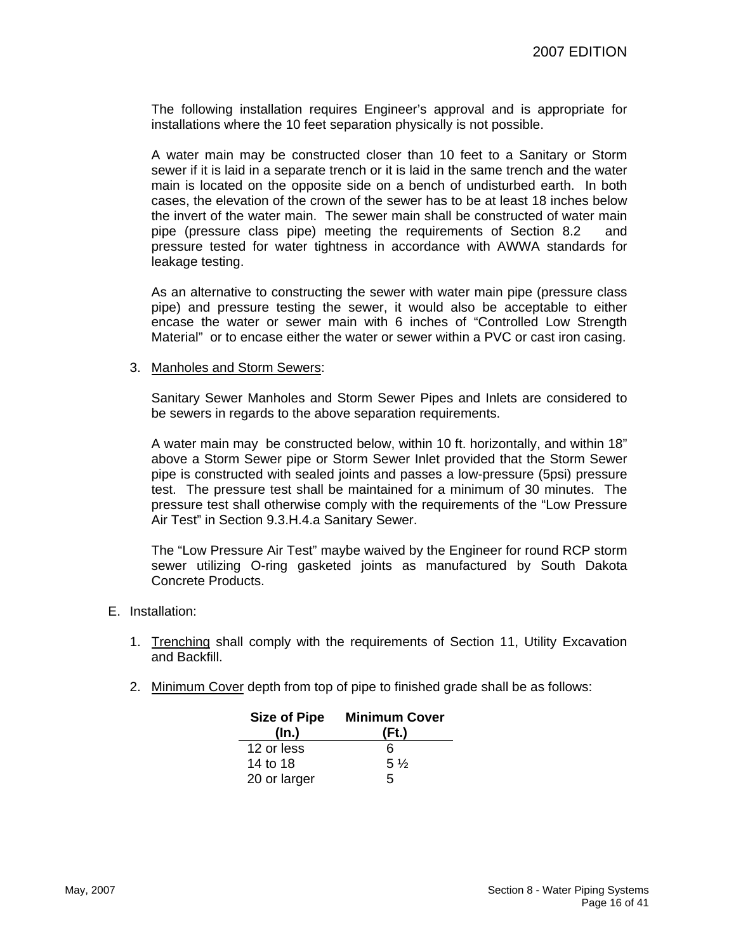The following installation requires Engineer's approval and is appropriate for installations where the 10 feet separation physically is not possible.

A water main may be constructed closer than 10 feet to a Sanitary or Storm sewer if it is laid in a separate trench or it is laid in the same trench and the water main is located on the opposite side on a bench of undisturbed earth. In both cases, the elevation of the crown of the sewer has to be at least 18 inches below the invert of the water main. The sewer main shall be constructed of water main pipe (pressure class pipe) meeting the requirements of Section 8.2 and pressure tested for water tightness in accordance with AWWA standards for leakage testing.

As an alternative to constructing the sewer with water main pipe (pressure class pipe) and pressure testing the sewer, it would also be acceptable to either encase the water or sewer main with 6 inches of "Controlled Low Strength Material" or to encase either the water or sewer within a PVC or cast iron casing.

#### 3. Manholes and Storm Sewers:

Sanitary Sewer Manholes and Storm Sewer Pipes and Inlets are considered to be sewers in regards to the above separation requirements.

A water main may be constructed below, within 10 ft. horizontally, and within 18" above a Storm Sewer pipe or Storm Sewer Inlet provided that the Storm Sewer pipe is constructed with sealed joints and passes a low-pressure (5psi) pressure test. The pressure test shall be maintained for a minimum of 30 minutes. The pressure test shall otherwise comply with the requirements of the "Low Pressure Air Test" in Section 9.3.H.4.a Sanitary Sewer.

The "Low Pressure Air Test" maybe waived by the Engineer for round RCP storm sewer utilizing O-ring gasketed joints as manufactured by South Dakota Concrete Products.

- E. Installation:
	- 1. Trenching shall comply with the requirements of Section 11, Utility Excavation and Backfill.
	- 2. Minimum Cover depth from top of pipe to finished grade shall be as follows:

| <b>Size of Pipe</b> | <b>Minimum Cover</b> |  |  |  |
|---------------------|----------------------|--|--|--|
| (In.)               | (Ft.)                |  |  |  |
| 12 or less          | 6                    |  |  |  |
| 14 to 18            | $5\frac{1}{2}$       |  |  |  |
| 20 or larger        | 5                    |  |  |  |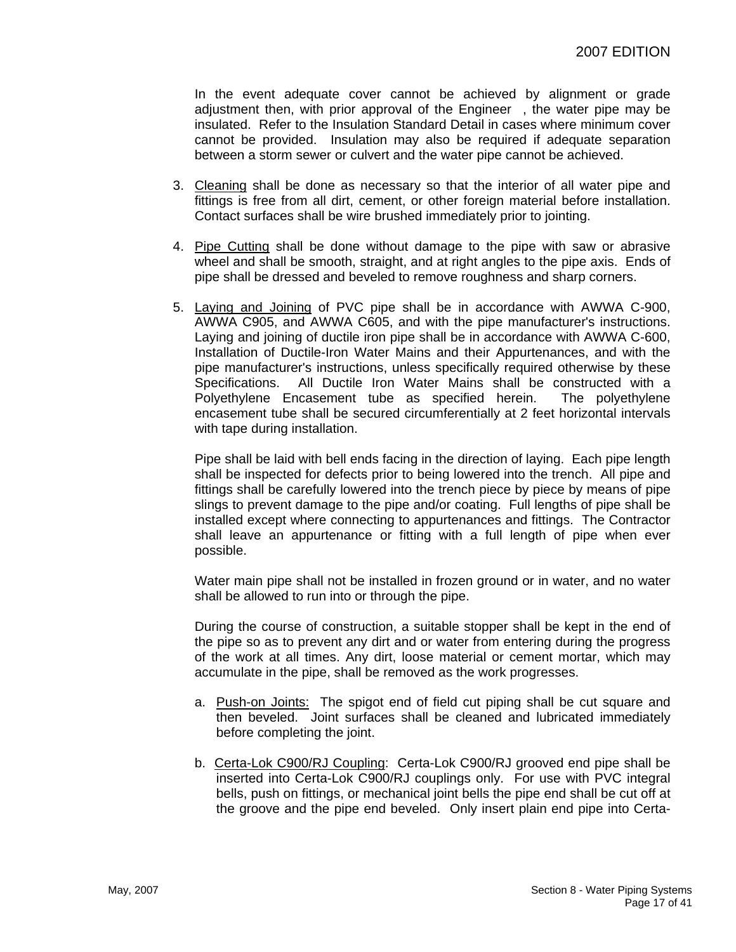In the event adequate cover cannot be achieved by alignment or grade adjustment then, with prior approval of the Engineer , the water pipe may be insulated. Refer to the Insulation Standard Detail in cases where minimum cover cannot be provided. Insulation may also be required if adequate separation between a storm sewer or culvert and the water pipe cannot be achieved.

- 3. Cleaning shall be done as necessary so that the interior of all water pipe and fittings is free from all dirt, cement, or other foreign material before installation. Contact surfaces shall be wire brushed immediately prior to jointing.
- 4. Pipe Cutting shall be done without damage to the pipe with saw or abrasive wheel and shall be smooth, straight, and at right angles to the pipe axis. Ends of pipe shall be dressed and beveled to remove roughness and sharp corners.
- 5. Laying and Joining of PVC pipe shall be in accordance with AWWA C-900, AWWA C905, and AWWA C605, and with the pipe manufacturer's instructions. Laying and joining of ductile iron pipe shall be in accordance with AWWA C-600, Installation of Ductile-Iron Water Mains and their Appurtenances, and with the pipe manufacturer's instructions, unless specifically required otherwise by these Specifications. All Ductile Iron Water Mains shall be constructed with a Polyethylene Encasement tube as specified herein. The polyethylene encasement tube shall be secured circumferentially at 2 feet horizontal intervals with tape during installation.

Pipe shall be laid with bell ends facing in the direction of laying. Each pipe length shall be inspected for defects prior to being lowered into the trench. All pipe and fittings shall be carefully lowered into the trench piece by piece by means of pipe slings to prevent damage to the pipe and/or coating. Full lengths of pipe shall be installed except where connecting to appurtenances and fittings. The Contractor shall leave an appurtenance or fitting with a full length of pipe when ever possible.

Water main pipe shall not be installed in frozen ground or in water, and no water shall be allowed to run into or through the pipe.

During the course of construction, a suitable stopper shall be kept in the end of the pipe so as to prevent any dirt and or water from entering during the progress of the work at all times. Any dirt, loose material or cement mortar, which may accumulate in the pipe, shall be removed as the work progresses.

- a. Push-on Joints: The spigot end of field cut piping shall be cut square and then beveled. Joint surfaces shall be cleaned and lubricated immediately before completing the joint.
- b. Certa-Lok C900/RJ Coupling: Certa-Lok C900/RJ grooved end pipe shall be inserted into Certa-Lok C900/RJ couplings only. For use with PVC integral bells, push on fittings, or mechanical joint bells the pipe end shall be cut off at the groove and the pipe end beveled. Only insert plain end pipe into Certa-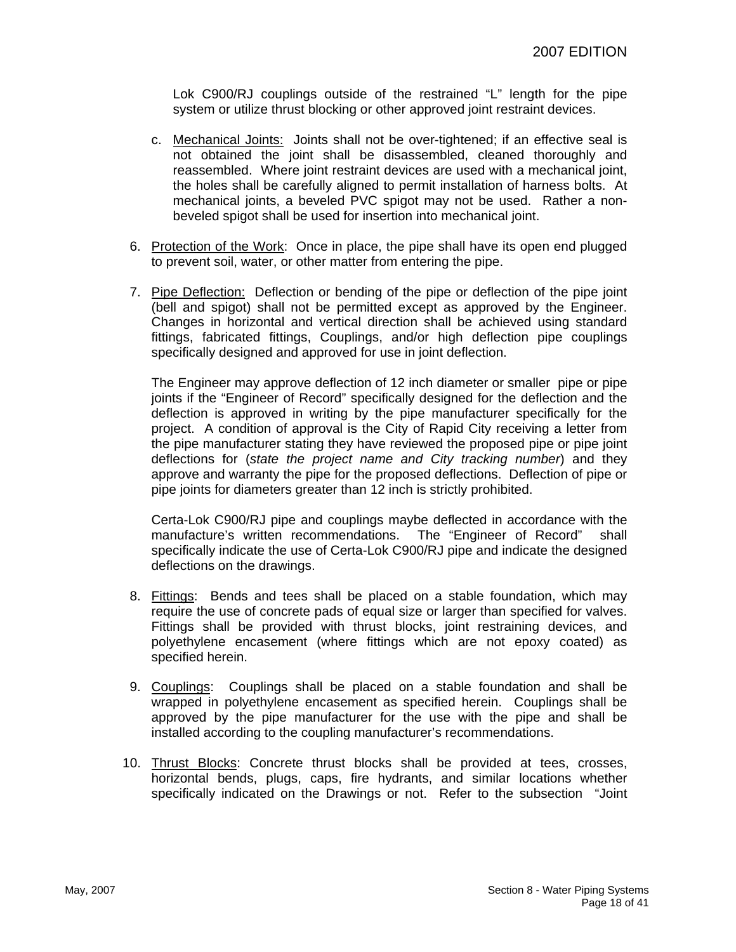Lok C900/RJ couplings outside of the restrained "L" length for the pipe system or utilize thrust blocking or other approved joint restraint devices.

- c. Mechanical Joints: Joints shall not be over-tightened; if an effective seal is not obtained the joint shall be disassembled, cleaned thoroughly and reassembled. Where joint restraint devices are used with a mechanical joint, the holes shall be carefully aligned to permit installation of harness bolts. At mechanical joints, a beveled PVC spigot may not be used. Rather a nonbeveled spigot shall be used for insertion into mechanical joint.
- 6. Protection of the Work: Once in place, the pipe shall have its open end plugged to prevent soil, water, or other matter from entering the pipe.
- 7. Pipe Deflection: Deflection or bending of the pipe or deflection of the pipe joint (bell and spigot) shall not be permitted except as approved by the Engineer. Changes in horizontal and vertical direction shall be achieved using standard fittings, fabricated fittings, Couplings, and/or high deflection pipe couplings specifically designed and approved for use in joint deflection.

The Engineer may approve deflection of 12 inch diameter or smaller pipe or pipe joints if the "Engineer of Record" specifically designed for the deflection and the deflection is approved in writing by the pipe manufacturer specifically for the project. A condition of approval is the City of Rapid City receiving a letter from the pipe manufacturer stating they have reviewed the proposed pipe or pipe joint deflections for (*state the project name and City tracking number*) and they approve and warranty the pipe for the proposed deflections. Deflection of pipe or pipe joints for diameters greater than 12 inch is strictly prohibited.

Certa-Lok C900/RJ pipe and couplings maybe deflected in accordance with the manufacture's written recommendations. The "Engineer of Record" shall specifically indicate the use of Certa-Lok C900/RJ pipe and indicate the designed deflections on the drawings.

- 8. Fittings: Bends and tees shall be placed on a stable foundation, which may require the use of concrete pads of equal size or larger than specified for valves. Fittings shall be provided with thrust blocks, joint restraining devices, and polyethylene encasement (where fittings which are not epoxy coated) as specified herein.
- 9. Couplings: Couplings shall be placed on a stable foundation and shall be wrapped in polyethylene encasement as specified herein. Couplings shall be approved by the pipe manufacturer for the use with the pipe and shall be installed according to the coupling manufacturer's recommendations.
- 10. Thrust Blocks: Concrete thrust blocks shall be provided at tees, crosses, horizontal bends, plugs, caps, fire hydrants, and similar locations whether specifically indicated on the Drawings or not. Refer to the subsection "Joint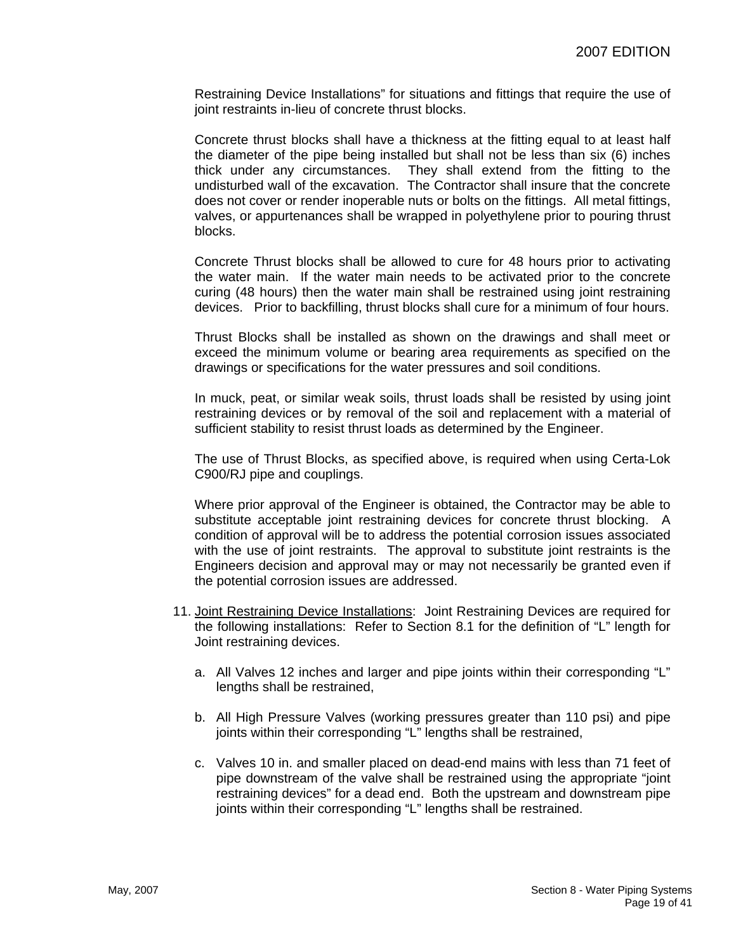Restraining Device Installations" for situations and fittings that require the use of joint restraints in-lieu of concrete thrust blocks.

Concrete thrust blocks shall have a thickness at the fitting equal to at least half the diameter of the pipe being installed but shall not be less than six (6) inches thick under any circumstances. They shall extend from the fitting to the undisturbed wall of the excavation. The Contractor shall insure that the concrete does not cover or render inoperable nuts or bolts on the fittings. All metal fittings, valves, or appurtenances shall be wrapped in polyethylene prior to pouring thrust blocks.

Concrete Thrust blocks shall be allowed to cure for 48 hours prior to activating the water main. If the water main needs to be activated prior to the concrete curing (48 hours) then the water main shall be restrained using joint restraining devices. Prior to backfilling, thrust blocks shall cure for a minimum of four hours.

Thrust Blocks shall be installed as shown on the drawings and shall meet or exceed the minimum volume or bearing area requirements as specified on the drawings or specifications for the water pressures and soil conditions.

In muck, peat, or similar weak soils, thrust loads shall be resisted by using joint restraining devices or by removal of the soil and replacement with a material of sufficient stability to resist thrust loads as determined by the Engineer.

The use of Thrust Blocks, as specified above, is required when using Certa-Lok C900/RJ pipe and couplings.

Where prior approval of the Engineer is obtained, the Contractor may be able to substitute acceptable joint restraining devices for concrete thrust blocking. A condition of approval will be to address the potential corrosion issues associated with the use of joint restraints. The approval to substitute joint restraints is the Engineers decision and approval may or may not necessarily be granted even if the potential corrosion issues are addressed.

- 11. Joint Restraining Device Installations: Joint Restraining Devices are required for the following installations: Refer to Section 8.1 for the definition of "L" length for Joint restraining devices.
	- a. All Valves 12 inches and larger and pipe joints within their corresponding "L" lengths shall be restrained,
	- b. All High Pressure Valves (working pressures greater than 110 psi) and pipe joints within their corresponding "L" lengths shall be restrained,
	- c. Valves 10 in. and smaller placed on dead-end mains with less than 71 feet of pipe downstream of the valve shall be restrained using the appropriate "joint restraining devices" for a dead end. Both the upstream and downstream pipe joints within their corresponding "L" lengths shall be restrained.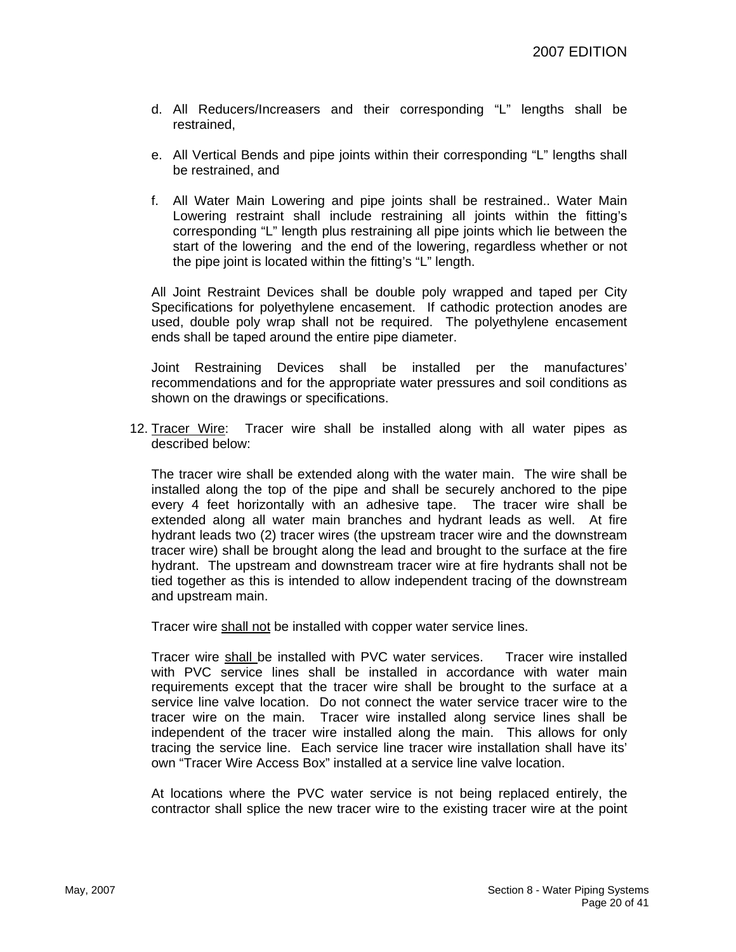- d. All Reducers/Increasers and their corresponding "L" lengths shall be restrained,
- e. All Vertical Bends and pipe joints within their corresponding "L" lengths shall be restrained, and
- f. All Water Main Lowering and pipe joints shall be restrained.. Water Main Lowering restraint shall include restraining all joints within the fitting's corresponding "L" length plus restraining all pipe joints which lie between the start of the lowering and the end of the lowering, regardless whether or not the pipe joint is located within the fitting's "L" length.

All Joint Restraint Devices shall be double poly wrapped and taped per City Specifications for polyethylene encasement. If cathodic protection anodes are used, double poly wrap shall not be required. The polyethylene encasement ends shall be taped around the entire pipe diameter.

Joint Restraining Devices shall be installed per the manufactures' recommendations and for the appropriate water pressures and soil conditions as shown on the drawings or specifications.

12. Tracer Wire: Tracer wire shall be installed along with all water pipes as described below:

The tracer wire shall be extended along with the water main. The wire shall be installed along the top of the pipe and shall be securely anchored to the pipe every 4 feet horizontally with an adhesive tape. The tracer wire shall be extended along all water main branches and hydrant leads as well. At fire hydrant leads two (2) tracer wires (the upstream tracer wire and the downstream tracer wire) shall be brought along the lead and brought to the surface at the fire hydrant. The upstream and downstream tracer wire at fire hydrants shall not be tied together as this is intended to allow independent tracing of the downstream and upstream main.

Tracer wire shall not be installed with copper water service lines.

Tracer wire shall be installed with PVC water services. Tracer wire installed with PVC service lines shall be installed in accordance with water main requirements except that the tracer wire shall be brought to the surface at a service line valve location. Do not connect the water service tracer wire to the tracer wire on the main. Tracer wire installed along service lines shall be independent of the tracer wire installed along the main. This allows for only tracing the service line. Each service line tracer wire installation shall have its' own "Tracer Wire Access Box" installed at a service line valve location.

At locations where the PVC water service is not being replaced entirely, the contractor shall splice the new tracer wire to the existing tracer wire at the point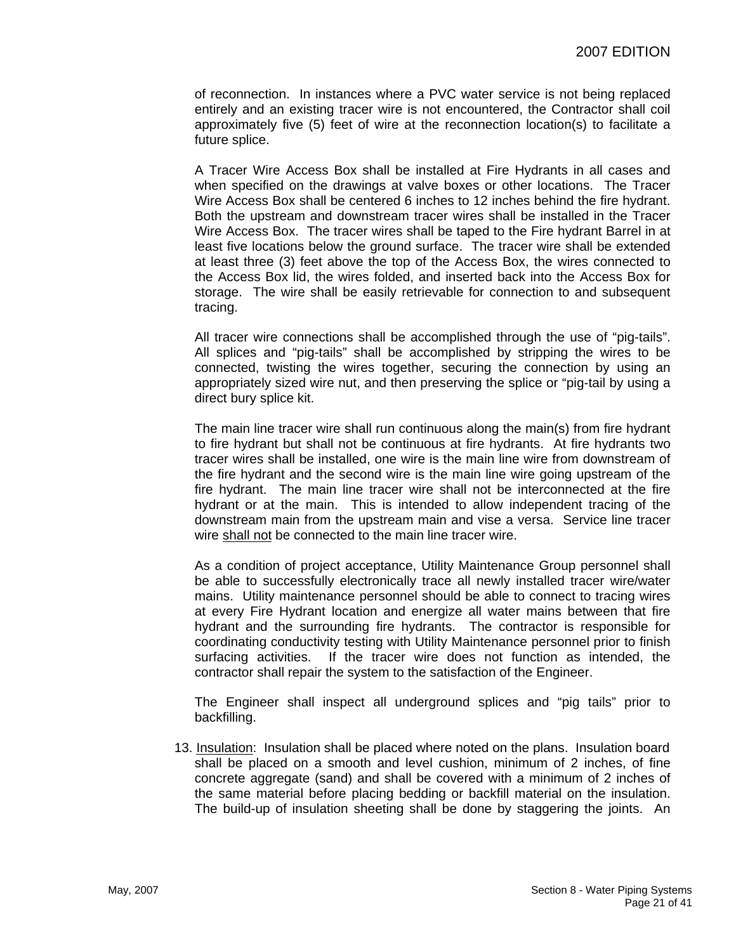of reconnection. In instances where a PVC water service is not being replaced entirely and an existing tracer wire is not encountered, the Contractor shall coil approximately five (5) feet of wire at the reconnection location(s) to facilitate a future splice.

A Tracer Wire Access Box shall be installed at Fire Hydrants in all cases and when specified on the drawings at valve boxes or other locations. The Tracer Wire Access Box shall be centered 6 inches to 12 inches behind the fire hydrant. Both the upstream and downstream tracer wires shall be installed in the Tracer Wire Access Box. The tracer wires shall be taped to the Fire hydrant Barrel in at least five locations below the ground surface. The tracer wire shall be extended at least three (3) feet above the top of the Access Box, the wires connected to the Access Box lid, the wires folded, and inserted back into the Access Box for storage. The wire shall be easily retrievable for connection to and subsequent tracing.

All tracer wire connections shall be accomplished through the use of "pig-tails". All splices and "pig-tails" shall be accomplished by stripping the wires to be connected, twisting the wires together, securing the connection by using an appropriately sized wire nut, and then preserving the splice or "pig-tail by using a direct bury splice kit.

The main line tracer wire shall run continuous along the main(s) from fire hydrant to fire hydrant but shall not be continuous at fire hydrants. At fire hydrants two tracer wires shall be installed, one wire is the main line wire from downstream of the fire hydrant and the second wire is the main line wire going upstream of the fire hydrant. The main line tracer wire shall not be interconnected at the fire hydrant or at the main. This is intended to allow independent tracing of the downstream main from the upstream main and vise a versa. Service line tracer wire shall not be connected to the main line tracer wire.

As a condition of project acceptance, Utility Maintenance Group personnel shall be able to successfully electronically trace all newly installed tracer wire/water mains. Utility maintenance personnel should be able to connect to tracing wires at every Fire Hydrant location and energize all water mains between that fire hydrant and the surrounding fire hydrants. The contractor is responsible for coordinating conductivity testing with Utility Maintenance personnel prior to finish surfacing activities. If the tracer wire does not function as intended, the contractor shall repair the system to the satisfaction of the Engineer.

The Engineer shall inspect all underground splices and "pig tails" prior to backfilling.

 13. Insulation: Insulation shall be placed where noted on the plans. Insulation board shall be placed on a smooth and level cushion, minimum of 2 inches, of fine concrete aggregate (sand) and shall be covered with a minimum of 2 inches of the same material before placing bedding or backfill material on the insulation. The build-up of insulation sheeting shall be done by staggering the joints. An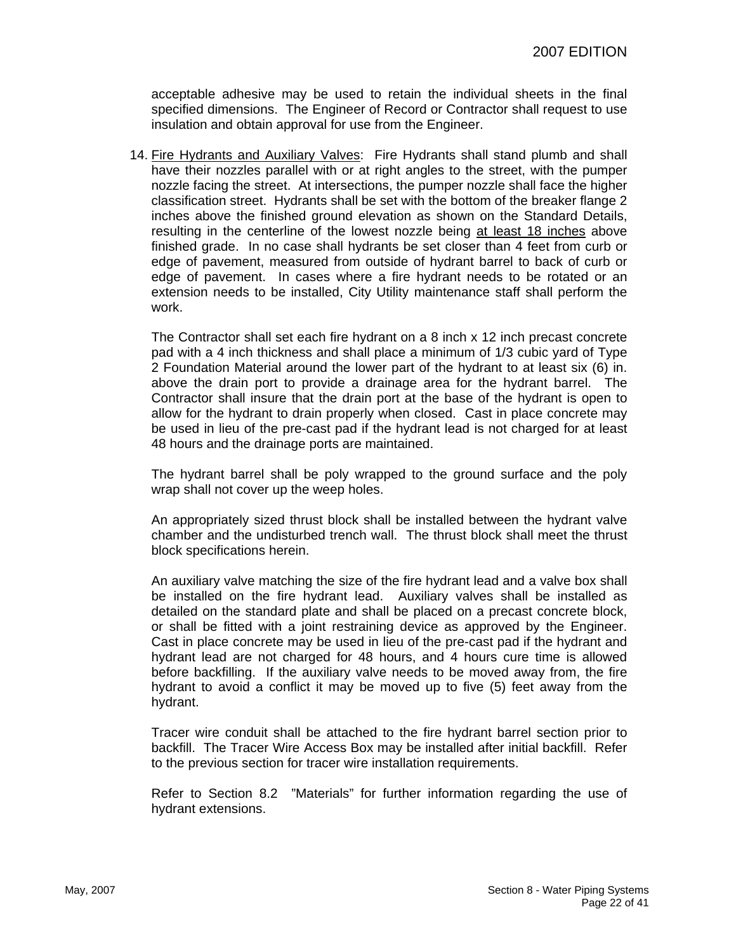acceptable adhesive may be used to retain the individual sheets in the final specified dimensions. The Engineer of Record or Contractor shall request to use insulation and obtain approval for use from the Engineer.

14. Fire Hydrants and Auxiliary Valves: Fire Hydrants shall stand plumb and shall have their nozzles parallel with or at right angles to the street, with the pumper nozzle facing the street. At intersections, the pumper nozzle shall face the higher classification street. Hydrants shall be set with the bottom of the breaker flange 2 inches above the finished ground elevation as shown on the Standard Details, resulting in the centerline of the lowest nozzle being at least 18 inches above finished grade. In no case shall hydrants be set closer than 4 feet from curb or edge of pavement, measured from outside of hydrant barrel to back of curb or edge of pavement. In cases where a fire hydrant needs to be rotated or an extension needs to be installed, City Utility maintenance staff shall perform the work.

The Contractor shall set each fire hydrant on a 8 inch x 12 inch precast concrete pad with a 4 inch thickness and shall place a minimum of 1/3 cubic yard of Type 2 Foundation Material around the lower part of the hydrant to at least six (6) in. above the drain port to provide a drainage area for the hydrant barrel. The Contractor shall insure that the drain port at the base of the hydrant is open to allow for the hydrant to drain properly when closed. Cast in place concrete may be used in lieu of the pre-cast pad if the hydrant lead is not charged for at least 48 hours and the drainage ports are maintained.

The hydrant barrel shall be poly wrapped to the ground surface and the poly wrap shall not cover up the weep holes.

An appropriately sized thrust block shall be installed between the hydrant valve chamber and the undisturbed trench wall. The thrust block shall meet the thrust block specifications herein.

An auxiliary valve matching the size of the fire hydrant lead and a valve box shall be installed on the fire hydrant lead. Auxiliary valves shall be installed as detailed on the standard plate and shall be placed on a precast concrete block, or shall be fitted with a joint restraining device as approved by the Engineer. Cast in place concrete may be used in lieu of the pre-cast pad if the hydrant and hydrant lead are not charged for 48 hours, and 4 hours cure time is allowed before backfilling. If the auxiliary valve needs to be moved away from, the fire hydrant to avoid a conflict it may be moved up to five (5) feet away from the hydrant.

Tracer wire conduit shall be attached to the fire hydrant barrel section prior to backfill. The Tracer Wire Access Box may be installed after initial backfill. Refer to the previous section for tracer wire installation requirements.

Refer to Section 8.2 "Materials" for further information regarding the use of hydrant extensions.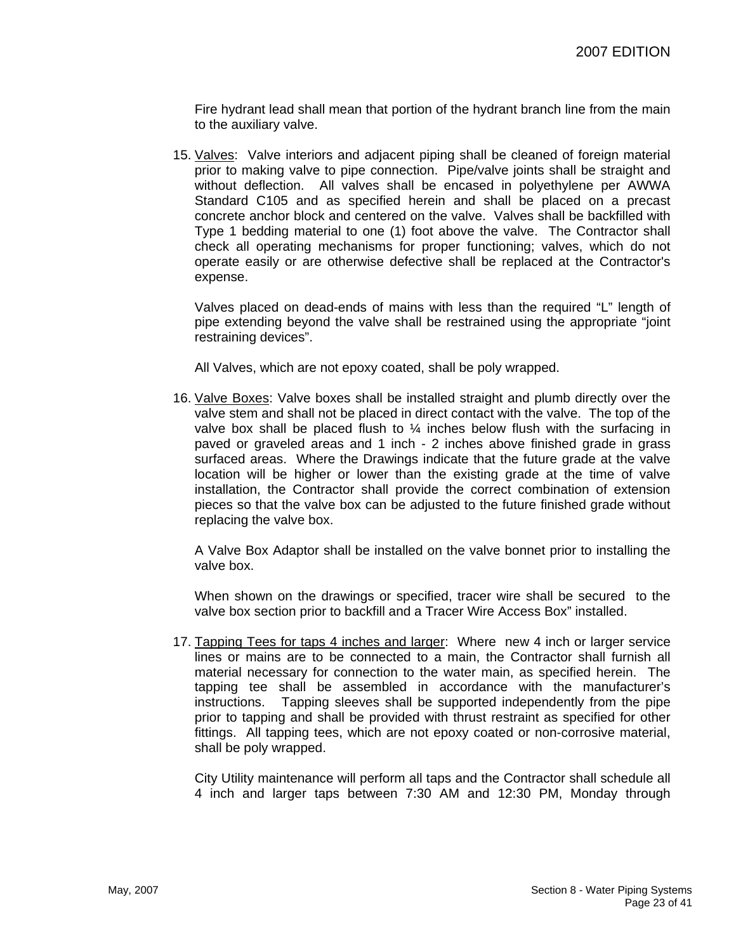Fire hydrant lead shall mean that portion of the hydrant branch line from the main to the auxiliary valve.

15. Valves: Valve interiors and adjacent piping shall be cleaned of foreign material prior to making valve to pipe connection. Pipe/valve joints shall be straight and without deflection. All valves shall be encased in polyethylene per AWWA Standard C105 and as specified herein and shall be placed on a precast concrete anchor block and centered on the valve. Valves shall be backfilled with Type 1 bedding material to one (1) foot above the valve. The Contractor shall check all operating mechanisms for proper functioning; valves, which do not operate easily or are otherwise defective shall be replaced at the Contractor's expense.

Valves placed on dead-ends of mains with less than the required "L" length of pipe extending beyond the valve shall be restrained using the appropriate "joint restraining devices".

All Valves, which are not epoxy coated, shall be poly wrapped.

16. Valve Boxes: Valve boxes shall be installed straight and plumb directly over the valve stem and shall not be placed in direct contact with the valve. The top of the valve box shall be placed flush to  $\frac{1}{4}$  inches below flush with the surfacing in paved or graveled areas and 1 inch - 2 inches above finished grade in grass surfaced areas. Where the Drawings indicate that the future grade at the valve location will be higher or lower than the existing grade at the time of valve installation, the Contractor shall provide the correct combination of extension pieces so that the valve box can be adjusted to the future finished grade without replacing the valve box.

A Valve Box Adaptor shall be installed on the valve bonnet prior to installing the valve box.

When shown on the drawings or specified, tracer wire shall be secured to the valve box section prior to backfill and a Tracer Wire Access Box" installed.

17. Tapping Tees for taps 4 inches and larger: Where new 4 inch or larger service lines or mains are to be connected to a main, the Contractor shall furnish all material necessary for connection to the water main, as specified herein. The tapping tee shall be assembled in accordance with the manufacturer's instructions. Tapping sleeves shall be supported independently from the pipe prior to tapping and shall be provided with thrust restraint as specified for other fittings. All tapping tees, which are not epoxy coated or non-corrosive material, shall be poly wrapped.

City Utility maintenance will perform all taps and the Contractor shall schedule all 4 inch and larger taps between 7:30 AM and 12:30 PM, Monday through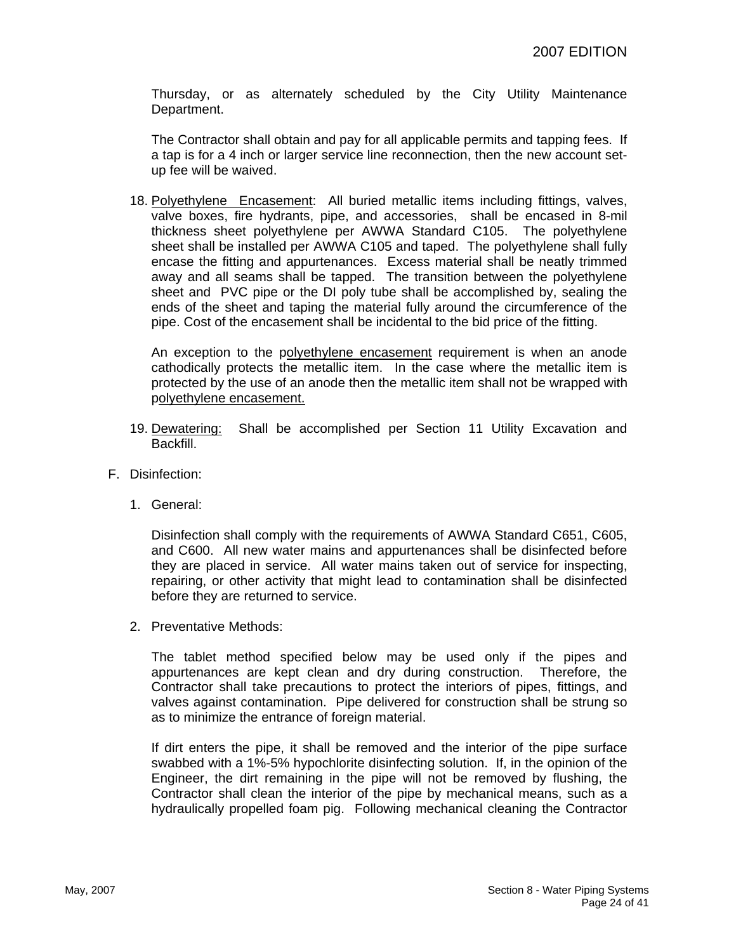Thursday, or as alternately scheduled by the City Utility Maintenance Department.

The Contractor shall obtain and pay for all applicable permits and tapping fees. If a tap is for a 4 inch or larger service line reconnection, then the new account setup fee will be waived.

18. Polyethylene Encasement: All buried metallic items including fittings, valves, valve boxes, fire hydrants, pipe, and accessories, shall be encased in 8-mil thickness sheet polyethylene per AWWA Standard C105. The polyethylene sheet shall be installed per AWWA C105 and taped. The polyethylene shall fully encase the fitting and appurtenances. Excess material shall be neatly trimmed away and all seams shall be tapped. The transition between the polyethylene sheet and PVC pipe or the DI poly tube shall be accomplished by, sealing the ends of the sheet and taping the material fully around the circumference of the pipe. Cost of the encasement shall be incidental to the bid price of the fitting.

An exception to the polyethylene encasement requirement is when an anode cathodically protects the metallic item. In the case where the metallic item is protected by the use of an anode then the metallic item shall not be wrapped with polyethylene encasement.

- 19. Dewatering: Shall be accomplished per Section 11 Utility Excavation and Backfill.
- F. Disinfection:
	- 1. General:

Disinfection shall comply with the requirements of AWWA Standard C651, C605, and C600. All new water mains and appurtenances shall be disinfected before they are placed in service. All water mains taken out of service for inspecting, repairing, or other activity that might lead to contamination shall be disinfected before they are returned to service.

2. Preventative Methods:

The tablet method specified below may be used only if the pipes and appurtenances are kept clean and dry during construction. Therefore, the Contractor shall take precautions to protect the interiors of pipes, fittings, and valves against contamination. Pipe delivered for construction shall be strung so as to minimize the entrance of foreign material.

If dirt enters the pipe, it shall be removed and the interior of the pipe surface swabbed with a 1%-5% hypochlorite disinfecting solution. If, in the opinion of the Engineer, the dirt remaining in the pipe will not be removed by flushing, the Contractor shall clean the interior of the pipe by mechanical means, such as a hydraulically propelled foam pig. Following mechanical cleaning the Contractor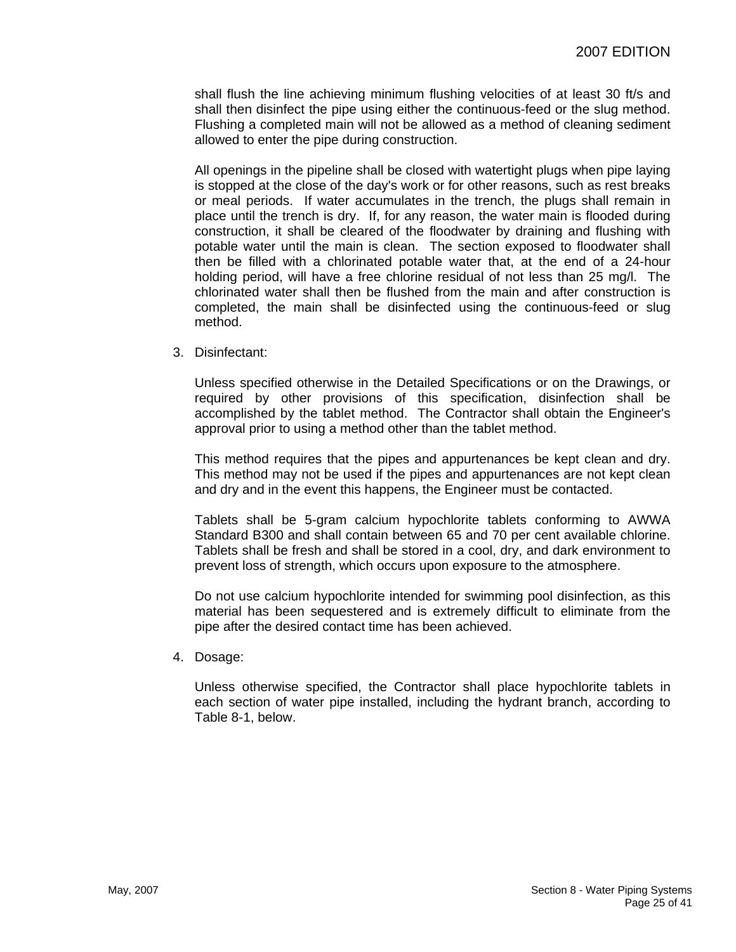shall flush the line achieving minimum flushing velocities of at least 30 ft/s and shall then disinfect the pipe using either the continuous-feed or the slug method. Flushing a completed main will not be allowed as a method of cleaning sediment allowed to enter the pipe during construction.

All openings in the pipeline shall be closed with watertight plugs when pipe laying is stopped at the close of the day's work or for other reasons, such as rest breaks or meal periods. If water accumulates in the trench, the plugs shall remain in place until the trench is dry. If, for any reason, the water main is flooded during construction, it shall be cleared of the floodwater by draining and flushing with potable water until the main is clean. The section exposed to floodwater shall then be filled with a chlorinated potable water that, at the end of a 24-hour holding period, will have a free chlorine residual of not less than 25 mg/l. The chlorinated water shall then be flushed from the main and after construction is completed, the main shall be disinfected using the continuous-feed or slug method.

3. Disinfectant:

Unless specified otherwise in the Detailed Specifications or on the Drawings, or required by other provisions of this specification, disinfection shall be accomplished by the tablet method. The Contractor shall obtain the Engineer's approval prior to using a method other than the tablet method.

This method requires that the pipes and appurtenances be kept clean and dry. This method may not be used if the pipes and appurtenances are not kept clean and dry and in the event this happens, the Engineer must be contacted.

Tablets shall be 5-gram calcium hypochlorite tablets conforming to AWWA Standard B300 and shall contain between 65 and 70 per cent available chlorine. Tablets shall be fresh and shall be stored in a cool, dry, and dark environment to prevent loss of strength, which occurs upon exposure to the atmosphere.

Do not use calcium hypochlorite intended for swimming pool disinfection, as this material has been sequestered and is extremely difficult to eliminate from the pipe after the desired contact time has been achieved.

4. Dosage:

Unless otherwise specified, the Contractor shall place hypochlorite tablets in each section of water pipe installed, including the hydrant branch, according to Table 8-1, below.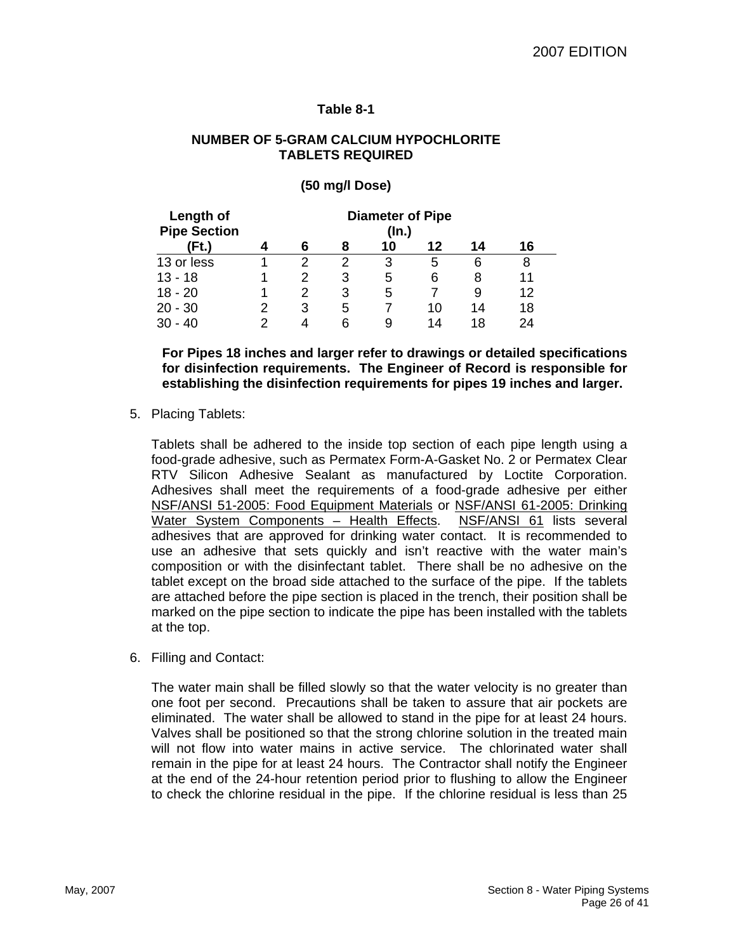## **Table 8-1**

## **NUMBER OF 5-GRAM CALCIUM HYPOCHLORITE TABLETS REQUIRED**

## **(50 mg/l Dose)**

| Length of<br><b>Pipe Section</b> |   | <b>Diameter of Pipe</b><br>$($ ln. $)$ |   |    |    |    |    |
|----------------------------------|---|----------------------------------------|---|----|----|----|----|
| Ft.)                             |   | 6                                      | 8 | 10 | 12 | 14 | 16 |
| 13 or less                       |   | 2                                      | 2 | З  | 5  | 6  | 8  |
| $13 - 18$                        |   |                                        | З | 5  | 6  | 8  | 11 |
| $18 - 20$                        |   |                                        | 3 | 5  |    | 9  | 12 |
| $20 - 30$                        | 2 | 3                                      | 5 |    | 10 | 14 | 18 |
| $30 - 40$                        |   |                                        |   | 9  | 14 | 18 | 24 |

**For Pipes 18 inches and larger refer to drawings or detailed specifications for disinfection requirements. The Engineer of Record is responsible for establishing the disinfection requirements for pipes 19 inches and larger.** 

5. Placing Tablets:

Tablets shall be adhered to the inside top section of each pipe length using a food-grade adhesive, such as Permatex Form-A-Gasket No. 2 or Permatex Clear RTV Silicon Adhesive Sealant as manufactured by Loctite Corporation. Adhesives shall meet the requirements of a food-grade adhesive per either NSF/ANSI 51-2005: Food Equipment Materials or NSF/ANSI 61-2005: Drinking Water System Components - Health Effects. NSF/ANSI 61 lists several adhesives that are approved for drinking water contact. It is recommended to use an adhesive that sets quickly and isn't reactive with the water main's composition or with the disinfectant tablet. There shall be no adhesive on the tablet except on the broad side attached to the surface of the pipe. If the tablets are attached before the pipe section is placed in the trench, their position shall be marked on the pipe section to indicate the pipe has been installed with the tablets at the top.

6. Filling and Contact:

The water main shall be filled slowly so that the water velocity is no greater than one foot per second. Precautions shall be taken to assure that air pockets are eliminated. The water shall be allowed to stand in the pipe for at least 24 hours. Valves shall be positioned so that the strong chlorine solution in the treated main will not flow into water mains in active service. The chlorinated water shall remain in the pipe for at least 24 hours. The Contractor shall notify the Engineer at the end of the 24-hour retention period prior to flushing to allow the Engineer to check the chlorine residual in the pipe. If the chlorine residual is less than 25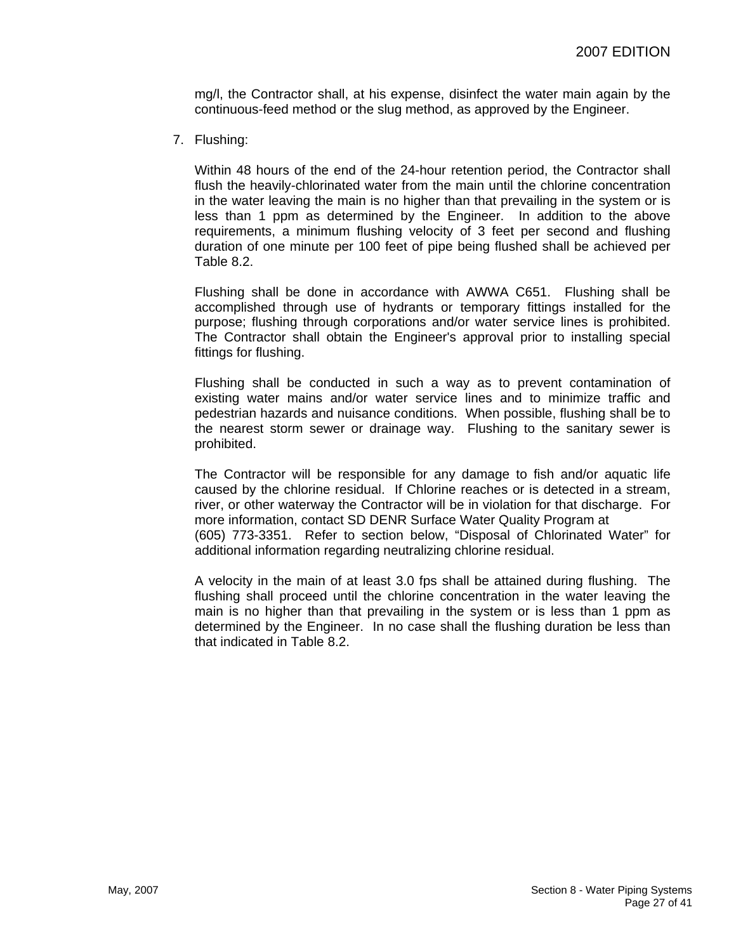mg/l, the Contractor shall, at his expense, disinfect the water main again by the continuous-feed method or the slug method, as approved by the Engineer.

7. Flushing:

Within 48 hours of the end of the 24-hour retention period, the Contractor shall flush the heavily-chlorinated water from the main until the chlorine concentration in the water leaving the main is no higher than that prevailing in the system or is less than 1 ppm as determined by the Engineer. In addition to the above requirements, a minimum flushing velocity of 3 feet per second and flushing duration of one minute per 100 feet of pipe being flushed shall be achieved per Table 8.2.

Flushing shall be done in accordance with AWWA C651. Flushing shall be accomplished through use of hydrants or temporary fittings installed for the purpose; flushing through corporations and/or water service lines is prohibited. The Contractor shall obtain the Engineer's approval prior to installing special fittings for flushing.

Flushing shall be conducted in such a way as to prevent contamination of existing water mains and/or water service lines and to minimize traffic and pedestrian hazards and nuisance conditions. When possible, flushing shall be to the nearest storm sewer or drainage way. Flushing to the sanitary sewer is prohibited.

The Contractor will be responsible for any damage to fish and/or aquatic life caused by the chlorine residual. If Chlorine reaches or is detected in a stream, river, or other waterway the Contractor will be in violation for that discharge. For more information, contact SD DENR Surface Water Quality Program at (605) 773-3351. Refer to section below, "Disposal of Chlorinated Water" for additional information regarding neutralizing chlorine residual.

A velocity in the main of at least 3.0 fps shall be attained during flushing. The flushing shall proceed until the chlorine concentration in the water leaving the main is no higher than that prevailing in the system or is less than 1 ppm as determined by the Engineer. In no case shall the flushing duration be less than that indicated in Table 8.2.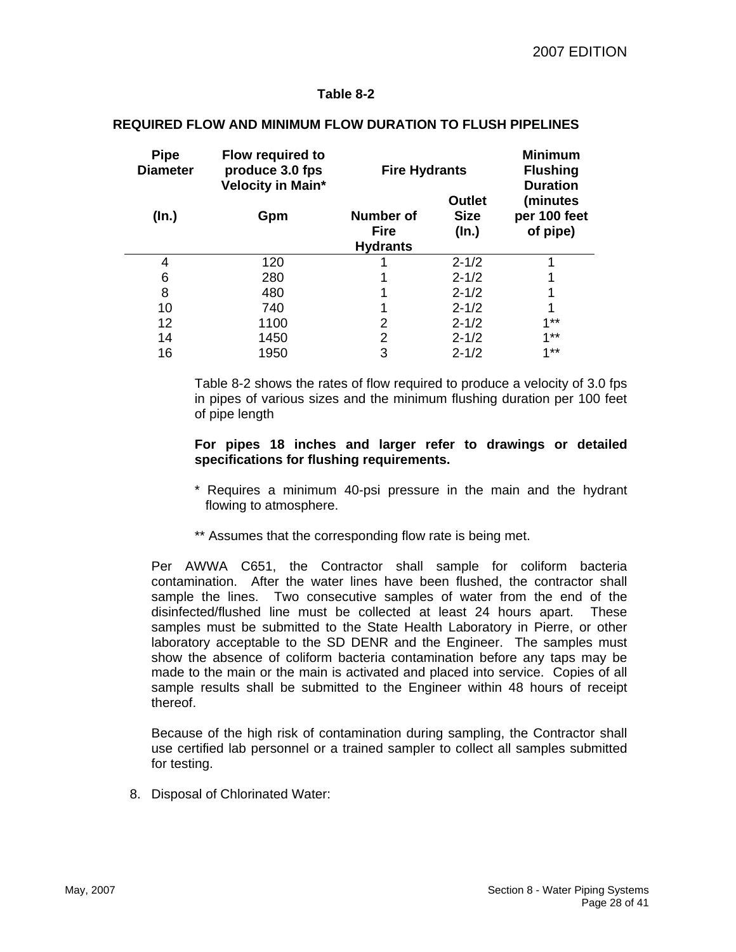## **Table 8-2**

| <b>Pipe</b><br><b>Diameter</b> | <b>Flow required to</b><br>produce 3.0 fps<br>Velocity in Main* | <b>Fire Hydrants</b>                        | <b>Minimum</b><br><b>Flushing</b><br><b>Duration</b> |                                      |
|--------------------------------|-----------------------------------------------------------------|---------------------------------------------|------------------------------------------------------|--------------------------------------|
| (In.)                          | Gpm                                                             | Number of<br><b>Fire</b><br><b>Hydrants</b> | <b>Outlet</b><br><b>Size</b><br>(In.)                | (minutes<br>per 100 feet<br>of pipe) |
| 4                              | 120                                                             |                                             | $2 - 1/2$                                            |                                      |
| 6                              | 280                                                             |                                             | $2 - 1/2$                                            |                                      |
| 8                              | 480                                                             |                                             | $2 - 1/2$                                            |                                      |
| 10                             | 740                                                             |                                             | $2 - 1/2$                                            |                                      |
| 12                             | 1100                                                            | 2                                           | $2 - 1/2$                                            | $1**$                                |
| 14                             | 1450                                                            | $\overline{2}$                              | $2 - 1/2$                                            | $1**$                                |
| 16                             | 1950                                                            | 3                                           | $2 - 1/2$                                            | $4 * *$                              |

### **REQUIRED FLOW AND MINIMUM FLOW DURATION TO FLUSH PIPELINES**

Table 8-2 shows the rates of flow required to produce a velocity of 3.0 fps in pipes of various sizes and the minimum flushing duration per 100 feet of pipe length

#### **For pipes 18 inches and larger refer to drawings or detailed specifications for flushing requirements.**

- \* Requires a minimum 40-psi pressure in the main and the hydrant flowing to atmosphere.
- \*\* Assumes that the corresponding flow rate is being met.

Per AWWA C651, the Contractor shall sample for coliform bacteria contamination. After the water lines have been flushed, the contractor shall sample the lines. Two consecutive samples of water from the end of the disinfected/flushed line must be collected at least 24 hours apart. These samples must be submitted to the State Health Laboratory in Pierre, or other laboratory acceptable to the SD DENR and the Engineer. The samples must show the absence of coliform bacteria contamination before any taps may be made to the main or the main is activated and placed into service. Copies of all sample results shall be submitted to the Engineer within 48 hours of receipt thereof.

Because of the high risk of contamination during sampling, the Contractor shall use certified lab personnel or a trained sampler to collect all samples submitted for testing.

8. Disposal of Chlorinated Water: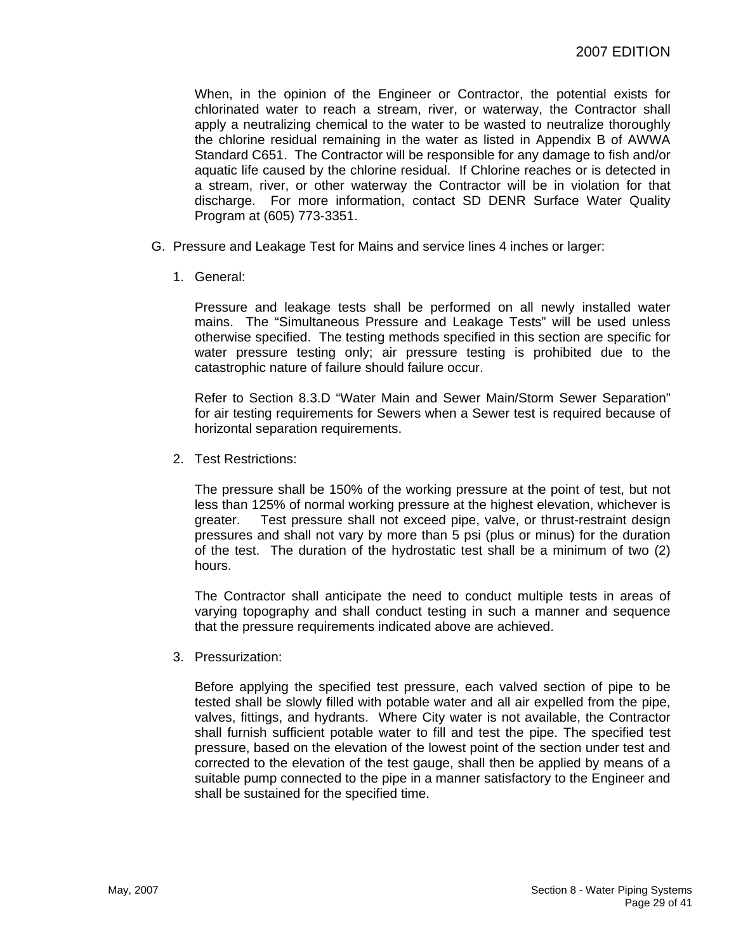When, in the opinion of the Engineer or Contractor, the potential exists for chlorinated water to reach a stream, river, or waterway, the Contractor shall apply a neutralizing chemical to the water to be wasted to neutralize thoroughly the chlorine residual remaining in the water as listed in Appendix B of AWWA Standard C651. The Contractor will be responsible for any damage to fish and/or aquatic life caused by the chlorine residual. If Chlorine reaches or is detected in a stream, river, or other waterway the Contractor will be in violation for that discharge. For more information, contact SD DENR Surface Water Quality Program at (605) 773-3351.

- G. Pressure and Leakage Test for Mains and service lines 4 inches or larger:
	- 1. General:

Pressure and leakage tests shall be performed on all newly installed water mains. The "Simultaneous Pressure and Leakage Tests" will be used unless otherwise specified. The testing methods specified in this section are specific for water pressure testing only; air pressure testing is prohibited due to the catastrophic nature of failure should failure occur.

Refer to Section 8.3.D "Water Main and Sewer Main/Storm Sewer Separation" for air testing requirements for Sewers when a Sewer test is required because of horizontal separation requirements.

2. Test Restrictions:

The pressure shall be 150% of the working pressure at the point of test, but not less than 125% of normal working pressure at the highest elevation, whichever is greater. Test pressure shall not exceed pipe, valve, or thrust-restraint design pressures and shall not vary by more than 5 psi (plus or minus) for the duration of the test. The duration of the hydrostatic test shall be a minimum of two (2) hours.

The Contractor shall anticipate the need to conduct multiple tests in areas of varying topography and shall conduct testing in such a manner and sequence that the pressure requirements indicated above are achieved.

3. Pressurization:

Before applying the specified test pressure, each valved section of pipe to be tested shall be slowly filled with potable water and all air expelled from the pipe, valves, fittings, and hydrants. Where City water is not available, the Contractor shall furnish sufficient potable water to fill and test the pipe. The specified test pressure, based on the elevation of the lowest point of the section under test and corrected to the elevation of the test gauge, shall then be applied by means of a suitable pump connected to the pipe in a manner satisfactory to the Engineer and shall be sustained for the specified time.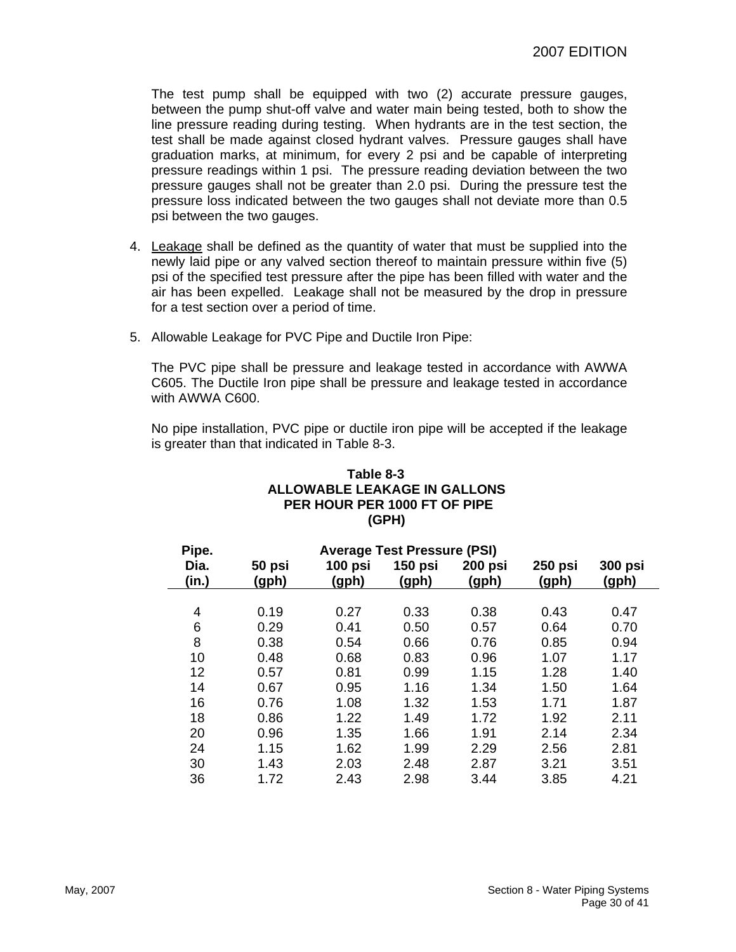The test pump shall be equipped with two (2) accurate pressure gauges, between the pump shut-off valve and water main being tested, both to show the line pressure reading during testing. When hydrants are in the test section, the test shall be made against closed hydrant valves. Pressure gauges shall have graduation marks, at minimum, for every 2 psi and be capable of interpreting pressure readings within 1 psi. The pressure reading deviation between the two pressure gauges shall not be greater than 2.0 psi. During the pressure test the pressure loss indicated between the two gauges shall not deviate more than 0.5 psi between the two gauges.

- 4. Leakage shall be defined as the quantity of water that must be supplied into the newly laid pipe or any valved section thereof to maintain pressure within five (5) psi of the specified test pressure after the pipe has been filled with water and the air has been expelled. Leakage shall not be measured by the drop in pressure for a test section over a period of time.
- 5. Allowable Leakage for PVC Pipe and Ductile Iron Pipe:

The PVC pipe shall be pressure and leakage tested in accordance with AWWA C605. The Ductile Iron pipe shall be pressure and leakage tested in accordance with AWWA C600.

No pipe installation, PVC pipe or ductile iron pipe will be accepted if the leakage is greater than that indicated in Table 8-3.

| Table 8-3                    |  |  |  |  |
|------------------------------|--|--|--|--|
| ALLOWABLE LEAKAGE IN GALLONS |  |  |  |  |
| PER HOUR PER 1000 FT OF PIPE |  |  |  |  |
| (GPH)                        |  |  |  |  |

| Pipe.<br><b>Average Test Pressure (PSI)</b> |                 |                  |                         |                         |                         |                         |
|---------------------------------------------|-----------------|------------------|-------------------------|-------------------------|-------------------------|-------------------------|
| Dia.<br>(in.)                               | 50 psi<br>(gph) | 100 psi<br>(gph) | <b>150 psi</b><br>(gph) | <b>200 psi</b><br>(gph) | <b>250 psi</b><br>(gph) | <b>300 psi</b><br>(gph) |
|                                             |                 |                  |                         |                         |                         |                         |
| 4                                           | 0.19            | 0.27             | 0.33                    | 0.38                    | 0.43                    | 0.47                    |
| 6                                           | 0.29            | 0.41             | 0.50                    | 0.57                    | 0.64                    | 0.70                    |
| 8                                           | 0.38            | 0.54             | 0.66                    | 0.76                    | 0.85                    | 0.94                    |
| 10                                          | 0.48            | 0.68             | 0.83                    | 0.96                    | 1.07                    | 1.17                    |
| 12                                          | 0.57            | 0.81             | 0.99                    | 1.15                    | 1.28                    | 1.40                    |
| 14                                          | 0.67            | 0.95             | 1.16                    | 1.34                    | 1.50                    | 1.64                    |
| 16                                          | 0.76            | 1.08             | 1.32                    | 1.53                    | 1.71                    | 1.87                    |
| 18                                          | 0.86            | 1.22             | 1.49                    | 1.72                    | 1.92                    | 2.11                    |
| 20                                          | 0.96            | 1.35             | 1.66                    | 1.91                    | 2.14                    | 2.34                    |
| 24                                          | 1.15            | 1.62             | 1.99                    | 2.29                    | 2.56                    | 2.81                    |
| 30                                          | 1.43            | 2.03             | 2.48                    | 2.87                    | 3.21                    | 3.51                    |
| 36                                          | 1.72            | 2.43             | 2.98                    | 3.44                    | 3.85                    | 4.21                    |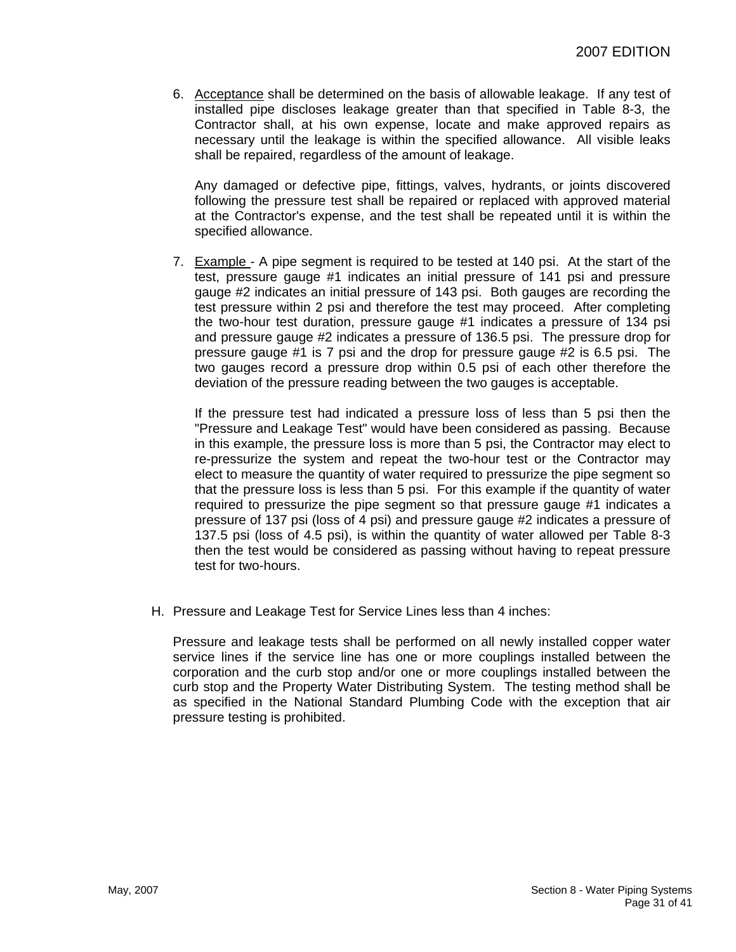6. Acceptance shall be determined on the basis of allowable leakage. If any test of installed pipe discloses leakage greater than that specified in Table 8-3, the Contractor shall, at his own expense, locate and make approved repairs as necessary until the leakage is within the specified allowance. All visible leaks shall be repaired, regardless of the amount of leakage.

Any damaged or defective pipe, fittings, valves, hydrants, or joints discovered following the pressure test shall be repaired or replaced with approved material at the Contractor's expense, and the test shall be repeated until it is within the specified allowance.

7. Example - A pipe segment is required to be tested at 140 psi. At the start of the test, pressure gauge #1 indicates an initial pressure of 141 psi and pressure gauge #2 indicates an initial pressure of 143 psi. Both gauges are recording the test pressure within 2 psi and therefore the test may proceed. After completing the two-hour test duration, pressure gauge #1 indicates a pressure of 134 psi and pressure gauge #2 indicates a pressure of 136.5 psi. The pressure drop for pressure gauge #1 is 7 psi and the drop for pressure gauge #2 is 6.5 psi. The two gauges record a pressure drop within 0.5 psi of each other therefore the deviation of the pressure reading between the two gauges is acceptable.

If the pressure test had indicated a pressure loss of less than 5 psi then the "Pressure and Leakage Test" would have been considered as passing. Because in this example, the pressure loss is more than 5 psi, the Contractor may elect to re-pressurize the system and repeat the two-hour test or the Contractor may elect to measure the quantity of water required to pressurize the pipe segment so that the pressure loss is less than 5 psi. For this example if the quantity of water required to pressurize the pipe segment so that pressure gauge #1 indicates a pressure of 137 psi (loss of 4 psi) and pressure gauge #2 indicates a pressure of 137.5 psi (loss of 4.5 psi), is within the quantity of water allowed per Table 8-3 then the test would be considered as passing without having to repeat pressure test for two-hours.

H. Pressure and Leakage Test for Service Lines less than 4 inches:

Pressure and leakage tests shall be performed on all newly installed copper water service lines if the service line has one or more couplings installed between the corporation and the curb stop and/or one or more couplings installed between the curb stop and the Property Water Distributing System. The testing method shall be as specified in the National Standard Plumbing Code with the exception that air pressure testing is prohibited.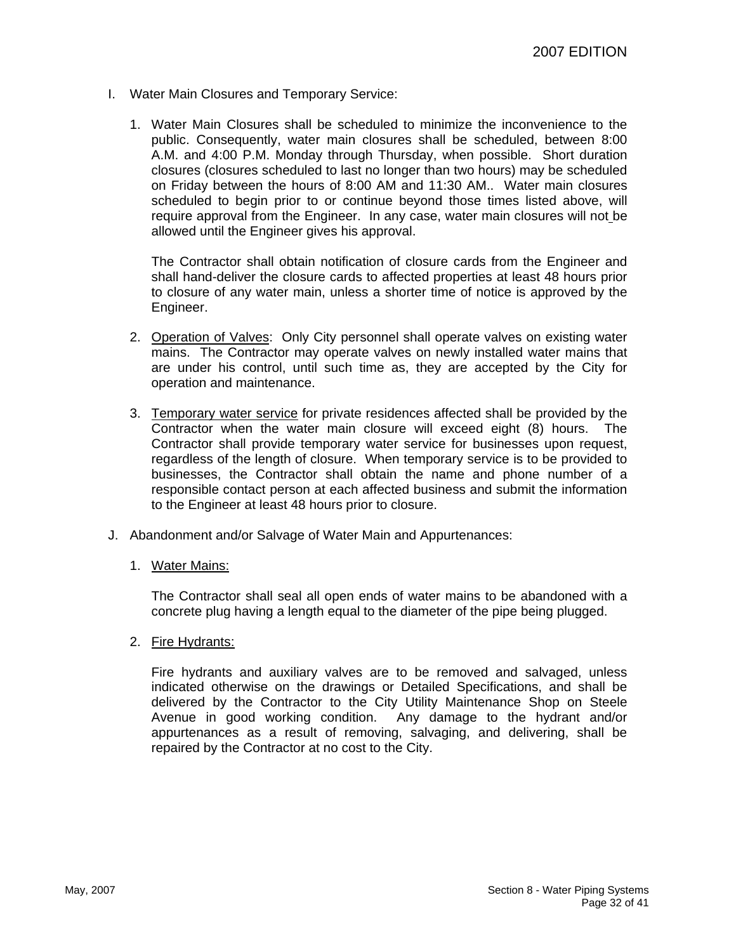- I. Water Main Closures and Temporary Service:
	- 1. Water Main Closures shall be scheduled to minimize the inconvenience to the public. Consequently, water main closures shall be scheduled, between 8:00 A.M. and 4:00 P.M. Monday through Thursday, when possible. Short duration closures (closures scheduled to last no longer than two hours) may be scheduled on Friday between the hours of 8:00 AM and 11:30 AM.. Water main closures scheduled to begin prior to or continue beyond those times listed above, will require approval from the Engineer. In any case, water main closures will not be allowed until the Engineer gives his approval.

The Contractor shall obtain notification of closure cards from the Engineer and shall hand-deliver the closure cards to affected properties at least 48 hours prior to closure of any water main, unless a shorter time of notice is approved by the Engineer.

- 2. Operation of Valves: Only City personnel shall operate valves on existing water mains. The Contractor may operate valves on newly installed water mains that are under his control, until such time as, they are accepted by the City for operation and maintenance.
- 3. Temporary water service for private residences affected shall be provided by the Contractor when the water main closure will exceed eight (8) hours. The Contractor shall provide temporary water service for businesses upon request, regardless of the length of closure. When temporary service is to be provided to businesses, the Contractor shall obtain the name and phone number of a responsible contact person at each affected business and submit the information to the Engineer at least 48 hours prior to closure.
- J. Abandonment and/or Salvage of Water Main and Appurtenances:
	- 1. Water Mains:

The Contractor shall seal all open ends of water mains to be abandoned with a concrete plug having a length equal to the diameter of the pipe being plugged.

2. Fire Hydrants:

Fire hydrants and auxiliary valves are to be removed and salvaged, unless indicated otherwise on the drawings or Detailed Specifications, and shall be delivered by the Contractor to the City Utility Maintenance Shop on Steele Avenue in good working condition. Any damage to the hydrant and/or appurtenances as a result of removing, salvaging, and delivering, shall be repaired by the Contractor at no cost to the City.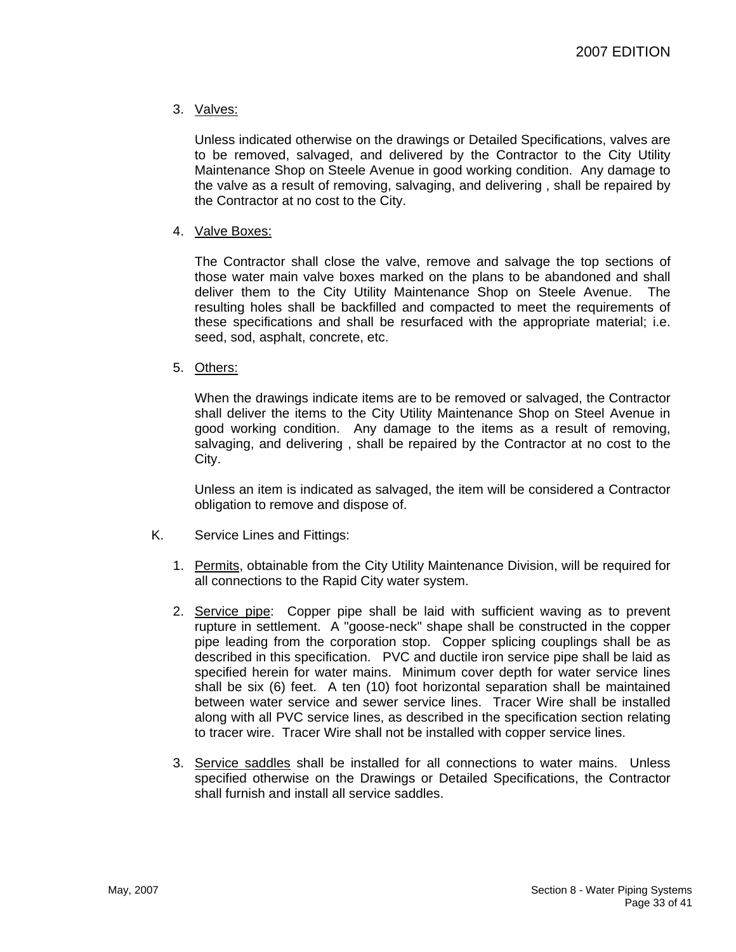# 3. Valves:

Unless indicated otherwise on the drawings or Detailed Specifications, valves are to be removed, salvaged, and delivered by the Contractor to the City Utility Maintenance Shop on Steele Avenue in good working condition. Any damage to the valve as a result of removing, salvaging, and delivering , shall be repaired by the Contractor at no cost to the City.

## 4. Valve Boxes:

The Contractor shall close the valve, remove and salvage the top sections of those water main valve boxes marked on the plans to be abandoned and shall deliver them to the City Utility Maintenance Shop on Steele Avenue. The resulting holes shall be backfilled and compacted to meet the requirements of these specifications and shall be resurfaced with the appropriate material; i.e. seed, sod, asphalt, concrete, etc.

## 5. Others:

When the drawings indicate items are to be removed or salvaged, the Contractor shall deliver the items to the City Utility Maintenance Shop on Steel Avenue in good working condition. Any damage to the items as a result of removing, salvaging, and delivering , shall be repaired by the Contractor at no cost to the City.

Unless an item is indicated as salvaged, the item will be considered a Contractor obligation to remove and dispose of.

- K. Service Lines and Fittings:
	- 1. Permits, obtainable from the City Utility Maintenance Division, will be required for all connections to the Rapid City water system.
	- 2. Service pipe: Copper pipe shall be laid with sufficient waving as to prevent rupture in settlement. A "goose-neck" shape shall be constructed in the copper pipe leading from the corporation stop. Copper splicing couplings shall be as described in this specification. PVC and ductile iron service pipe shall be laid as specified herein for water mains. Minimum cover depth for water service lines shall be six (6) feet. A ten (10) foot horizontal separation shall be maintained between water service and sewer service lines. Tracer Wire shall be installed along with all PVC service lines, as described in the specification section relating to tracer wire. Tracer Wire shall not be installed with copper service lines.
	- 3. Service saddles shall be installed for all connections to water mains. Unless specified otherwise on the Drawings or Detailed Specifications, the Contractor shall furnish and install all service saddles.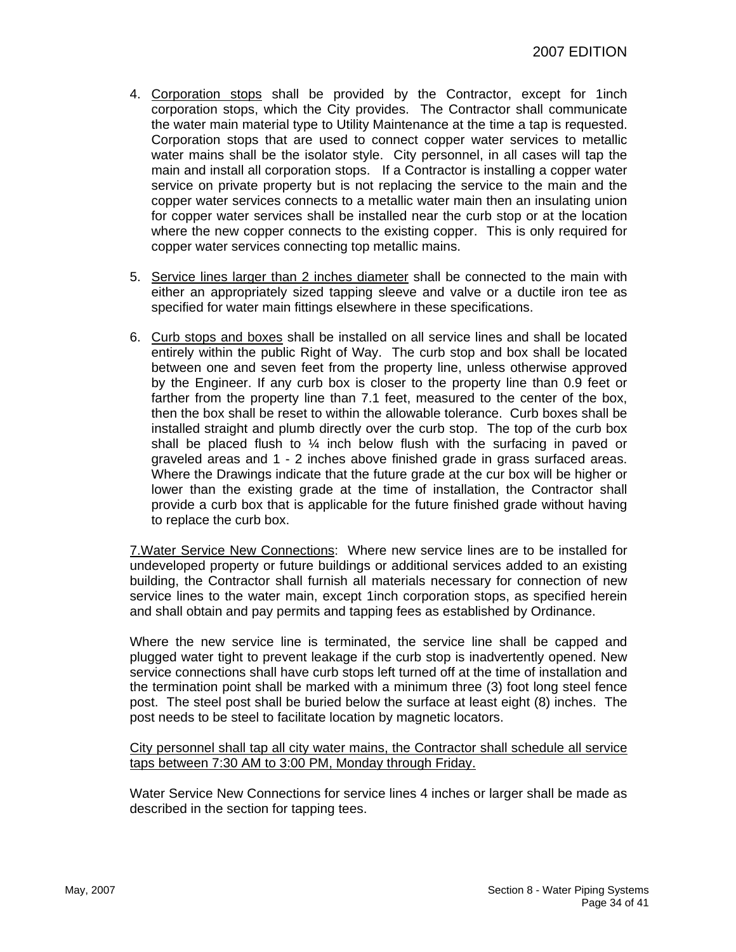- 4. Corporation stops shall be provided by the Contractor, except for 1inch corporation stops, which the City provides. The Contractor shall communicate the water main material type to Utility Maintenance at the time a tap is requested. Corporation stops that are used to connect copper water services to metallic water mains shall be the isolator style. City personnel, in all cases will tap the main and install all corporation stops. If a Contractor is installing a copper water service on private property but is not replacing the service to the main and the copper water services connects to a metallic water main then an insulating union for copper water services shall be installed near the curb stop or at the location where the new copper connects to the existing copper. This is only required for copper water services connecting top metallic mains.
- 5. Service lines larger than 2 inches diameter shall be connected to the main with either an appropriately sized tapping sleeve and valve or a ductile iron tee as specified for water main fittings elsewhere in these specifications.
- 6. Curb stops and boxes shall be installed on all service lines and shall be located entirely within the public Right of Way. The curb stop and box shall be located between one and seven feet from the property line, unless otherwise approved by the Engineer. If any curb box is closer to the property line than 0.9 feet or farther from the property line than 7.1 feet, measured to the center of the box, then the box shall be reset to within the allowable tolerance. Curb boxes shall be installed straight and plumb directly over the curb stop. The top of the curb box shall be placed flush to  $\frac{1}{4}$  inch below flush with the surfacing in paved or graveled areas and 1 - 2 inches above finished grade in grass surfaced areas. Where the Drawings indicate that the future grade at the cur box will be higher or lower than the existing grade at the time of installation, the Contractor shall provide a curb box that is applicable for the future finished grade without having to replace the curb box.

7.Water Service New Connections: Where new service lines are to be installed for undeveloped property or future buildings or additional services added to an existing building, the Contractor shall furnish all materials necessary for connection of new service lines to the water main, except 1inch corporation stops, as specified herein and shall obtain and pay permits and tapping fees as established by Ordinance.

Where the new service line is terminated, the service line shall be capped and plugged water tight to prevent leakage if the curb stop is inadvertently opened. New service connections shall have curb stops left turned off at the time of installation and the termination point shall be marked with a minimum three (3) foot long steel fence post. The steel post shall be buried below the surface at least eight (8) inches. The post needs to be steel to facilitate location by magnetic locators.

City personnel shall tap all city water mains, the Contractor shall schedule all service taps between 7:30 AM to 3:00 PM, Monday through Friday.

Water Service New Connections for service lines 4 inches or larger shall be made as described in the section for tapping tees.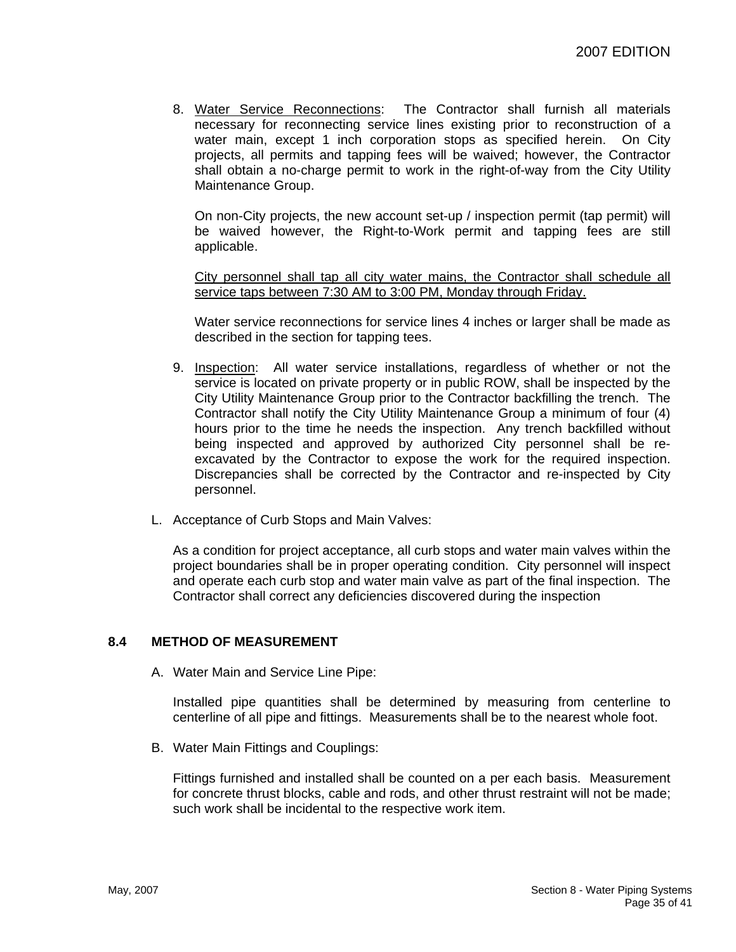8. Water Service Reconnections: The Contractor shall furnish all materials necessary for reconnecting service lines existing prior to reconstruction of a water main, except 1 inch corporation stops as specified herein. On City projects, all permits and tapping fees will be waived; however, the Contractor shall obtain a no-charge permit to work in the right-of-way from the City Utility Maintenance Group.

On non-City projects, the new account set-up / inspection permit (tap permit) will be waived however, the Right-to-Work permit and tapping fees are still applicable.

City personnel shall tap all city water mains, the Contractor shall schedule all service taps between 7:30 AM to 3:00 PM, Monday through Friday.

Water service reconnections for service lines 4 inches or larger shall be made as described in the section for tapping tees.

- 9. Inspection: All water service installations, regardless of whether or not the service is located on private property or in public ROW, shall be inspected by the City Utility Maintenance Group prior to the Contractor backfilling the trench. The Contractor shall notify the City Utility Maintenance Group a minimum of four (4) hours prior to the time he needs the inspection. Any trench backfilled without being inspected and approved by authorized City personnel shall be reexcavated by the Contractor to expose the work for the required inspection. Discrepancies shall be corrected by the Contractor and re-inspected by City personnel.
- L. Acceptance of Curb Stops and Main Valves:

As a condition for project acceptance, all curb stops and water main valves within the project boundaries shall be in proper operating condition. City personnel will inspect and operate each curb stop and water main valve as part of the final inspection. The Contractor shall correct any deficiencies discovered during the inspection

#### **8.4 METHOD OF MEASUREMENT**

A. Water Main and Service Line Pipe:

Installed pipe quantities shall be determined by measuring from centerline to centerline of all pipe and fittings. Measurements shall be to the nearest whole foot.

B. Water Main Fittings and Couplings:

Fittings furnished and installed shall be counted on a per each basis. Measurement for concrete thrust blocks, cable and rods, and other thrust restraint will not be made; such work shall be incidental to the respective work item.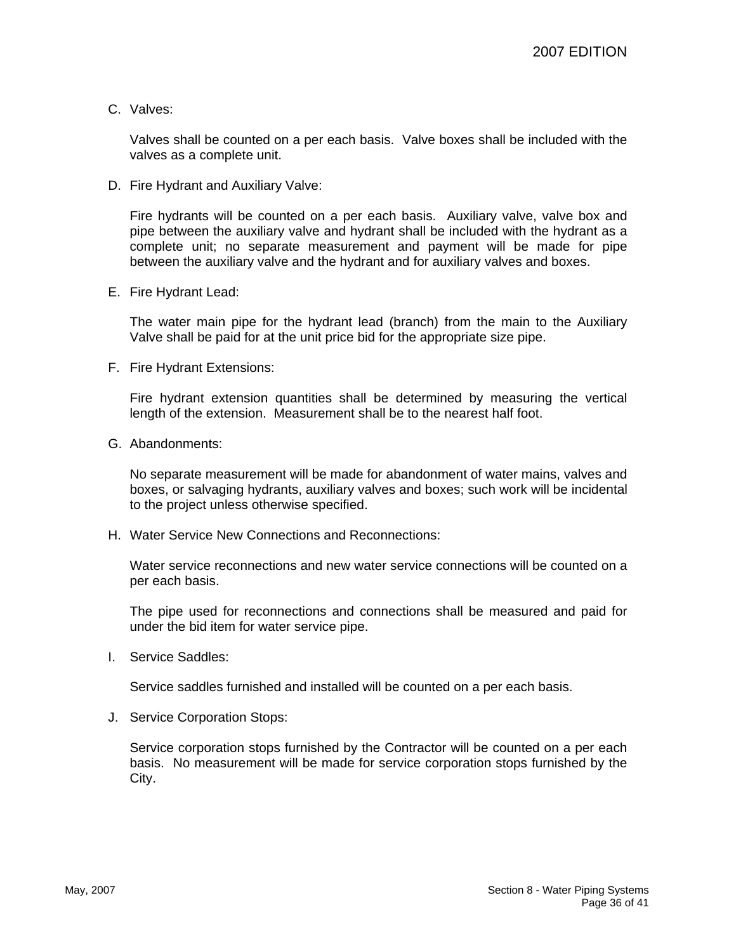C. Valves:

Valves shall be counted on a per each basis. Valve boxes shall be included with the valves as a complete unit.

D. Fire Hydrant and Auxiliary Valve:

Fire hydrants will be counted on a per each basis. Auxiliary valve, valve box and pipe between the auxiliary valve and hydrant shall be included with the hydrant as a complete unit; no separate measurement and payment will be made for pipe between the auxiliary valve and the hydrant and for auxiliary valves and boxes.

E. Fire Hydrant Lead:

The water main pipe for the hydrant lead (branch) from the main to the Auxiliary Valve shall be paid for at the unit price bid for the appropriate size pipe.

F. Fire Hydrant Extensions:

Fire hydrant extension quantities shall be determined by measuring the vertical length of the extension. Measurement shall be to the nearest half foot.

G. Abandonments:

No separate measurement will be made for abandonment of water mains, valves and boxes, or salvaging hydrants, auxiliary valves and boxes; such work will be incidental to the project unless otherwise specified.

H. Water Service New Connections and Reconnections:

Water service reconnections and new water service connections will be counted on a per each basis.

The pipe used for reconnections and connections shall be measured and paid for under the bid item for water service pipe.

I. Service Saddles:

Service saddles furnished and installed will be counted on a per each basis.

J. Service Corporation Stops:

Service corporation stops furnished by the Contractor will be counted on a per each basis. No measurement will be made for service corporation stops furnished by the City.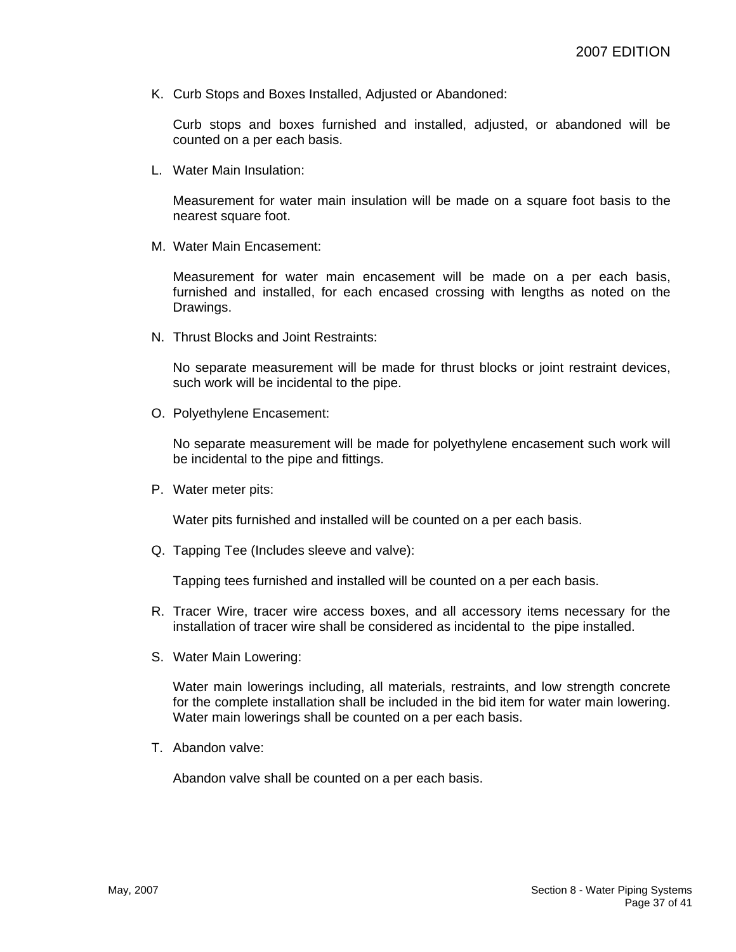K. Curb Stops and Boxes Installed, Adjusted or Abandoned:

Curb stops and boxes furnished and installed, adjusted, or abandoned will be counted on a per each basis.

L. Water Main Insulation:

Measurement for water main insulation will be made on a square foot basis to the nearest square foot.

M. Water Main Encasement:

Measurement for water main encasement will be made on a per each basis, furnished and installed, for each encased crossing with lengths as noted on the Drawings.

N. Thrust Blocks and Joint Restraints:

No separate measurement will be made for thrust blocks or joint restraint devices, such work will be incidental to the pipe.

O. Polyethylene Encasement:

No separate measurement will be made for polyethylene encasement such work will be incidental to the pipe and fittings.

P. Water meter pits:

Water pits furnished and installed will be counted on a per each basis.

Q. Tapping Tee (Includes sleeve and valve):

Tapping tees furnished and installed will be counted on a per each basis.

- R. Tracer Wire, tracer wire access boxes, and all accessory items necessary for the installation of tracer wire shall be considered as incidental to the pipe installed.
- S. Water Main Lowering:

Water main lowerings including, all materials, restraints, and low strength concrete for the complete installation shall be included in the bid item for water main lowering. Water main lowerings shall be counted on a per each basis.

T. Abandon valve:

Abandon valve shall be counted on a per each basis.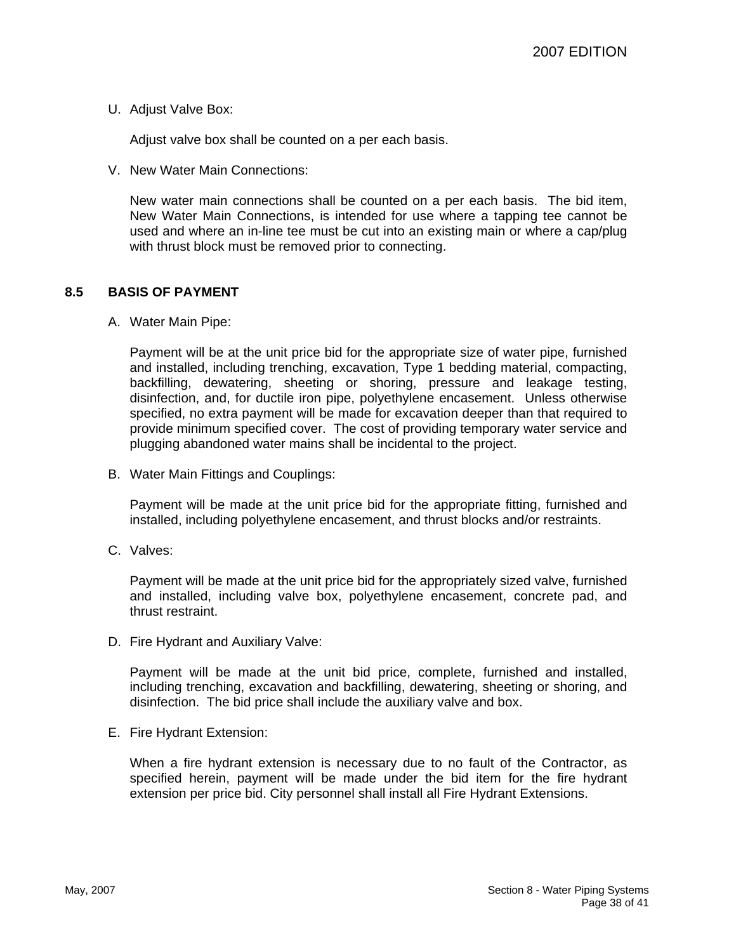U. Adjust Valve Box:

Adjust valve box shall be counted on a per each basis.

V. New Water Main Connections:

New water main connections shall be counted on a per each basis. The bid item, New Water Main Connections, is intended for use where a tapping tee cannot be used and where an in-line tee must be cut into an existing main or where a cap/plug with thrust block must be removed prior to connecting.

## **8.5 BASIS OF PAYMENT**

A. Water Main Pipe:

Payment will be at the unit price bid for the appropriate size of water pipe, furnished and installed, including trenching, excavation, Type 1 bedding material, compacting, backfilling, dewatering, sheeting or shoring, pressure and leakage testing, disinfection, and, for ductile iron pipe, polyethylene encasement. Unless otherwise specified, no extra payment will be made for excavation deeper than that required to provide minimum specified cover. The cost of providing temporary water service and plugging abandoned water mains shall be incidental to the project.

B. Water Main Fittings and Couplings:

Payment will be made at the unit price bid for the appropriate fitting, furnished and installed, including polyethylene encasement, and thrust blocks and/or restraints.

C. Valves:

Payment will be made at the unit price bid for the appropriately sized valve, furnished and installed, including valve box, polyethylene encasement, concrete pad, and thrust restraint.

D. Fire Hydrant and Auxiliary Valve:

Payment will be made at the unit bid price, complete, furnished and installed, including trenching, excavation and backfilling, dewatering, sheeting or shoring, and disinfection. The bid price shall include the auxiliary valve and box.

E. Fire Hydrant Extension:

When a fire hydrant extension is necessary due to no fault of the Contractor, as specified herein, payment will be made under the bid item for the fire hydrant extension per price bid. City personnel shall install all Fire Hydrant Extensions.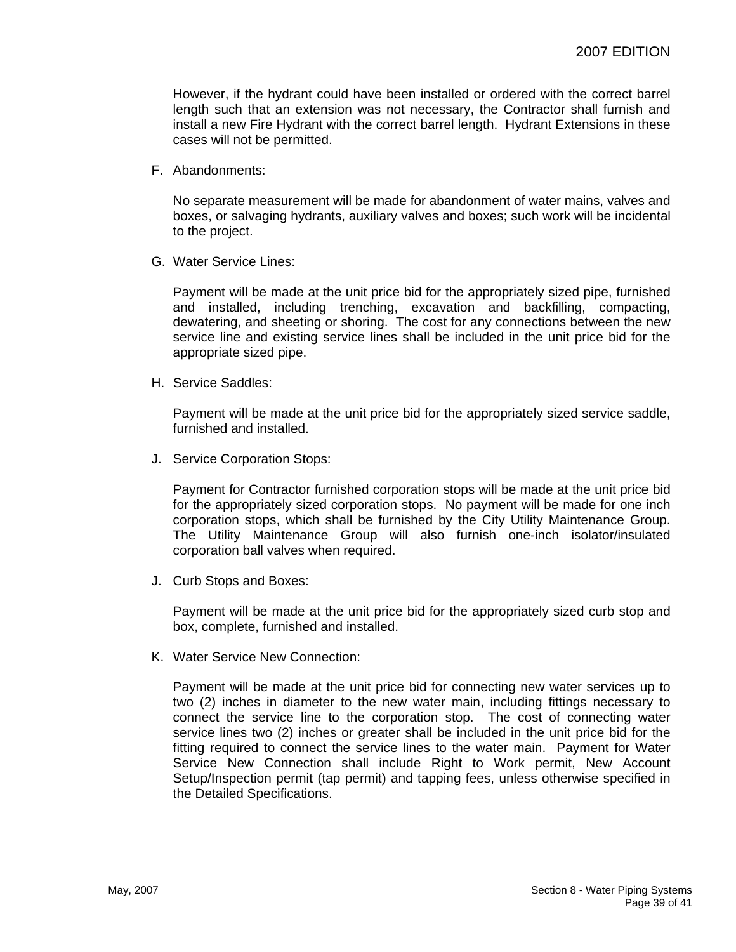However, if the hydrant could have been installed or ordered with the correct barrel length such that an extension was not necessary, the Contractor shall furnish and install a new Fire Hydrant with the correct barrel length. Hydrant Extensions in these cases will not be permitted.

F. Abandonments:

No separate measurement will be made for abandonment of water mains, valves and boxes, or salvaging hydrants, auxiliary valves and boxes; such work will be incidental to the project.

G. Water Service Lines:

Payment will be made at the unit price bid for the appropriately sized pipe, furnished and installed, including trenching, excavation and backfilling, compacting, dewatering, and sheeting or shoring. The cost for any connections between the new service line and existing service lines shall be included in the unit price bid for the appropriate sized pipe.

H. Service Saddles:

Payment will be made at the unit price bid for the appropriately sized service saddle, furnished and installed.

J. Service Corporation Stops:

Payment for Contractor furnished corporation stops will be made at the unit price bid for the appropriately sized corporation stops. No payment will be made for one inch corporation stops, which shall be furnished by the City Utility Maintenance Group. The Utility Maintenance Group will also furnish one-inch isolator/insulated corporation ball valves when required.

J. Curb Stops and Boxes:

Payment will be made at the unit price bid for the appropriately sized curb stop and box, complete, furnished and installed.

K. Water Service New Connection:

Payment will be made at the unit price bid for connecting new water services up to two (2) inches in diameter to the new water main, including fittings necessary to connect the service line to the corporation stop. The cost of connecting water service lines two (2) inches or greater shall be included in the unit price bid for the fitting required to connect the service lines to the water main. Payment for Water Service New Connection shall include Right to Work permit, New Account Setup/Inspection permit (tap permit) and tapping fees, unless otherwise specified in the Detailed Specifications.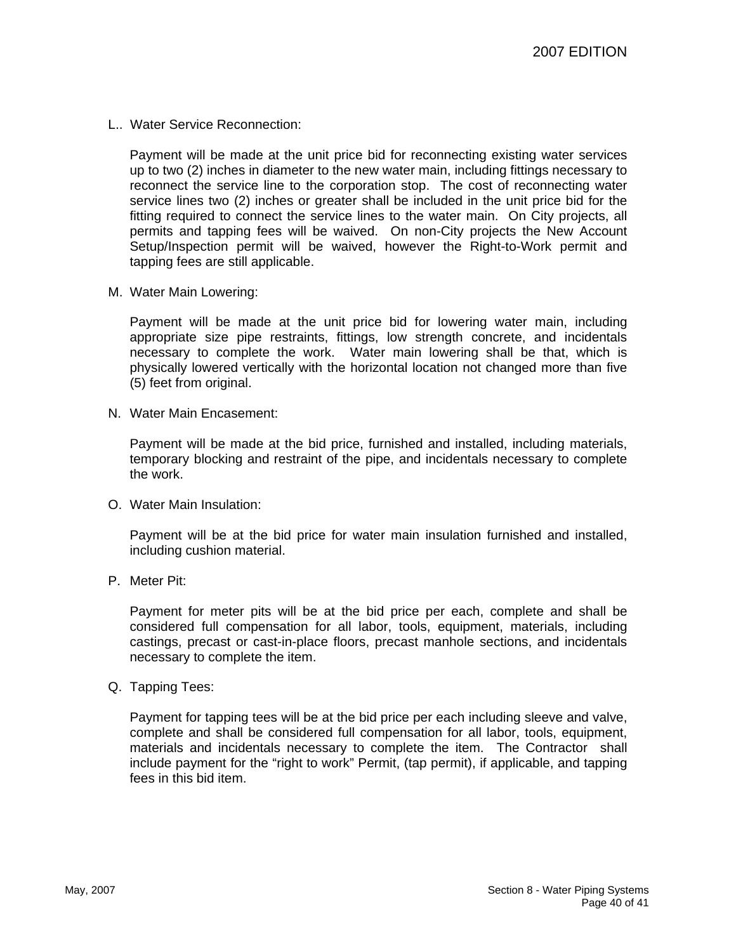L.. Water Service Reconnection:

Payment will be made at the unit price bid for reconnecting existing water services up to two (2) inches in diameter to the new water main, including fittings necessary to reconnect the service line to the corporation stop. The cost of reconnecting water service lines two (2) inches or greater shall be included in the unit price bid for the fitting required to connect the service lines to the water main. On City projects, all permits and tapping fees will be waived. On non-City projects the New Account Setup/Inspection permit will be waived, however the Right-to-Work permit and tapping fees are still applicable.

M. Water Main Lowering:

Payment will be made at the unit price bid for lowering water main, including appropriate size pipe restraints, fittings, low strength concrete, and incidentals necessary to complete the work. Water main lowering shall be that, which is physically lowered vertically with the horizontal location not changed more than five (5) feet from original.

N. Water Main Encasement:

Payment will be made at the bid price, furnished and installed, including materials, temporary blocking and restraint of the pipe, and incidentals necessary to complete the work.

O. Water Main Insulation:

Payment will be at the bid price for water main insulation furnished and installed, including cushion material.

P. Meter Pit:

Payment for meter pits will be at the bid price per each, complete and shall be considered full compensation for all labor, tools, equipment, materials, including castings, precast or cast-in-place floors, precast manhole sections, and incidentals necessary to complete the item.

Q. Tapping Tees:

Payment for tapping tees will be at the bid price per each including sleeve and valve, complete and shall be considered full compensation for all labor, tools, equipment, materials and incidentals necessary to complete the item. The Contractor shall include payment for the "right to work" Permit, (tap permit), if applicable, and tapping fees in this bid item.